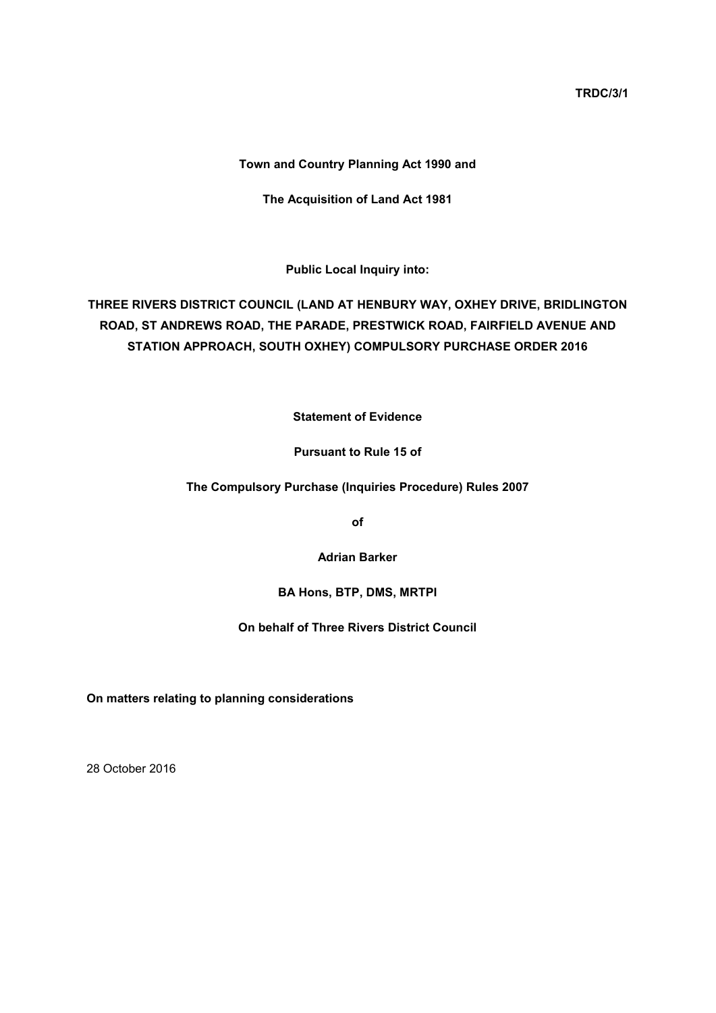**TRDC/3/1**

### **Town and Country Planning Act 1990 and**

**The Acquisition of Land Act 1981**

**Public Local Inquiry into:**

# **THREE RIVERS DISTRICT COUNCIL (LAND AT HENBURY WAY, OXHEY DRIVE, BRIDLINGTON ROAD, ST ANDREWS ROAD, THE PARADE, PRESTWICK ROAD, FAIRFIELD AVENUE AND STATION APPROACH, SOUTH OXHEY) COMPULSORY PURCHASE ORDER 2016**

**Statement of Evidence**

# **Pursuant to Rule 15 of**

## **The Compulsory Purchase (Inquiries Procedure) Rules 2007**

**of**

**Adrian Barker**

**BA Hons, BTP, DMS, MRTPI**

**On behalf of Three Rivers District Council**

**On matters relating to planning considerations**

28 October 2016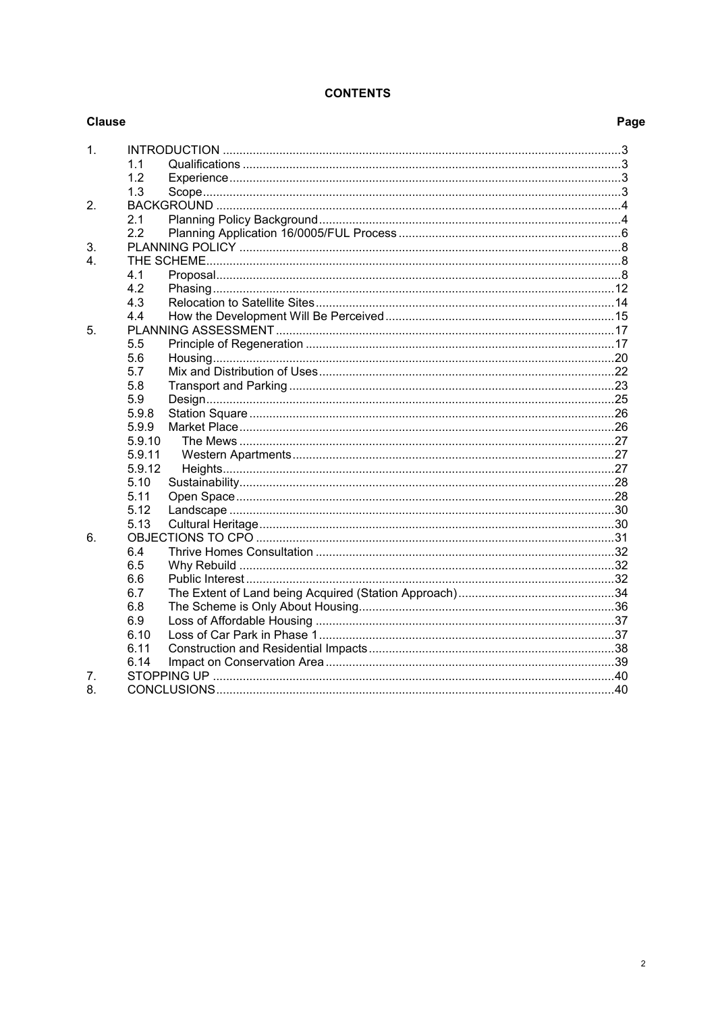# **CONTENTS**

| <b>Clause</b> |        | Page |
|---------------|--------|------|
| 1.            |        |      |
|               | 1.1    |      |
|               | 1.2    |      |
|               | 1.3    |      |
| 2.            |        |      |
|               | 2.1    |      |
|               | 2.2    |      |
| 3.            |        |      |
| 4.            |        |      |
|               | 4.1    |      |
|               | 4.2    |      |
|               | 4.3    |      |
|               | 4.4    |      |
| 5.            |        |      |
|               | 5.5    |      |
|               | 5.6    |      |
|               | 5.7    |      |
|               | 5.8    |      |
|               | 5.9    |      |
|               | 5.9.8  |      |
|               | 5.9.9  |      |
|               | 5.9.10 |      |
|               | 5.9.11 |      |
|               | 5.9.12 |      |
|               | 5.10   |      |
|               | 5.11   |      |
|               | 5.12   |      |
|               | 5.13   |      |
| 6.            |        |      |
|               | 6.4    |      |
|               | 6.5    |      |
|               | 6.6    |      |
|               | 6.7    |      |
|               | 6.8    |      |
|               | 6.9    |      |
|               | 6.10   |      |
|               | 6.11   |      |
|               | 6.14   |      |
| 7.            |        |      |
| 8.            |        |      |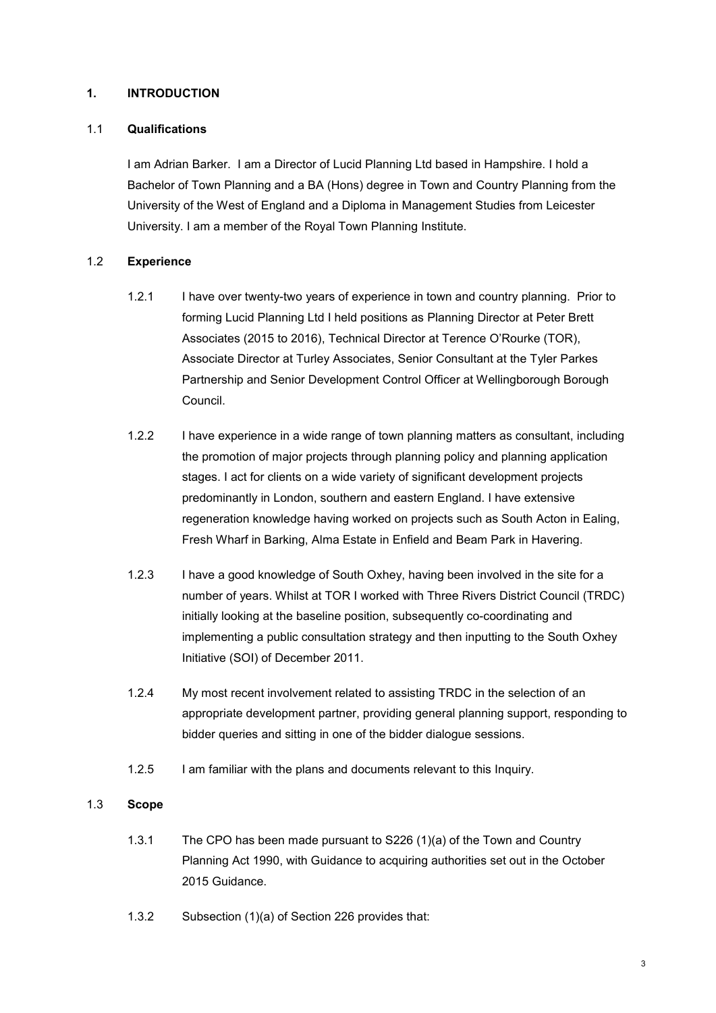## <span id="page-2-0"></span>**1. INTRODUCTION**

### 1.1 **Qualifications**

<span id="page-2-1"></span>I am Adrian Barker. I am a Director of Lucid Planning Ltd based in Hampshire. I hold a Bachelor of Town Planning and a BA (Hons) degree in Town and Country Planning from the University of the West of England and a Diploma in Management Studies from Leicester University. I am a member of the Royal Town Planning Institute.

# 1.2 **Experience**

- <span id="page-2-2"></span>1.2.1 I have over twenty-two years of experience in town and country planning. Prior to forming Lucid Planning Ltd I held positions as Planning Director at Peter Brett Associates (2015 to 2016), Technical Director at Terence O'Rourke (TOR), Associate Director at Turley Associates, Senior Consultant at the Tyler Parkes Partnership and Senior Development Control Officer at Wellingborough Borough Council.
- 1.2.2 I have experience in a wide range of town planning matters as consultant, including the promotion of major projects through planning policy and planning application stages. I act for clients on a wide variety of significant development projects predominantly in London, southern and eastern England. I have extensive regeneration knowledge having worked on projects such as South Acton in Ealing, Fresh Wharf in Barking, Alma Estate in Enfield and Beam Park in Havering.
- 1.2.3 I have a good knowledge of South Oxhey, having been involved in the site for a number of years. Whilst at TOR I worked with Three Rivers District Council (TRDC) initially looking at the baseline position, subsequently co-coordinating and implementing a public consultation strategy and then inputting to the South Oxhey Initiative (SOI) of December 2011.
- 1.2.4 My most recent involvement related to assisting TRDC in the selection of an appropriate development partner, providing general planning support, responding to bidder queries and sitting in one of the bidder dialogue sessions.
- <span id="page-2-3"></span>1.2.5 I am familiar with the plans and documents relevant to this Inquiry.

### 1.3 **Scope**

- 1.3.1 The CPO has been made pursuant to S226 (1)(a) of the Town and Country Planning Act 1990, with Guidance to acquiring authorities set out in the October 2015 Guidance.
- 1.3.2 Subsection (1)(a) of Section 226 provides that: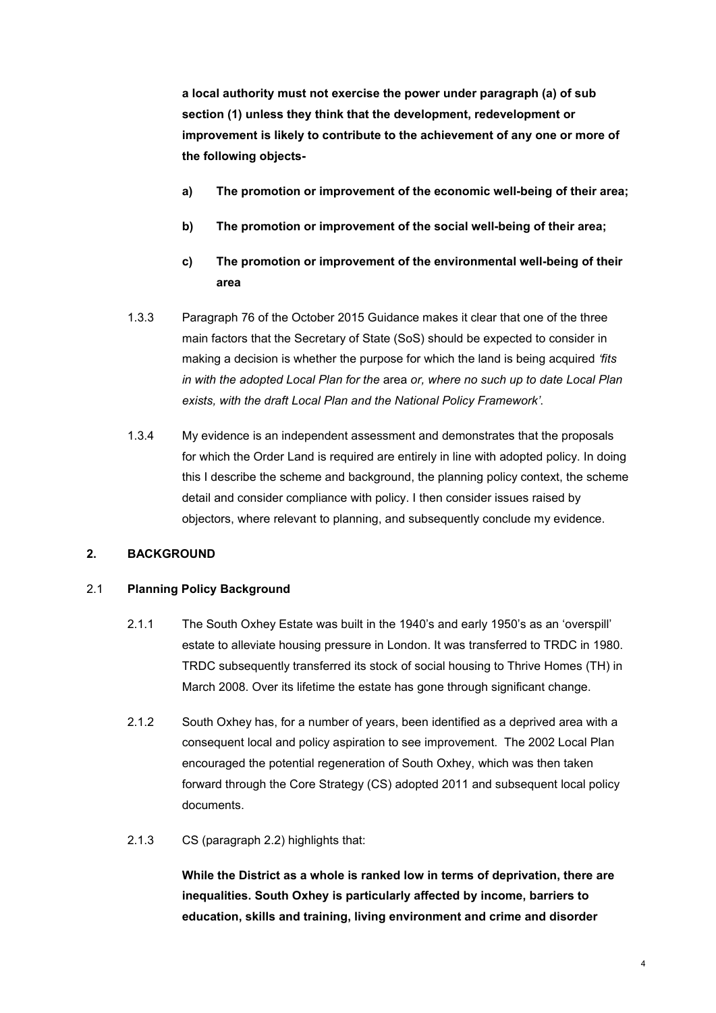**a local authority must not exercise the power under paragraph (a) of sub section (1) unless they think that the development, redevelopment or improvement is likely to contribute to the achievement of any one or more of the following objects-**

- **a) The promotion or improvement of the economic well-being of their area;**
- **b) The promotion or improvement of the social well-being of their area;**
- **c) The promotion or improvement of the environmental well-being of their area**
- 1.3.3 Paragraph 76 of the October 2015 Guidance makes it clear that one of the three main factors that the Secretary of State (SoS) should be expected to consider in making a decision is whether the purpose for which the land is being acquired *'fits in with the adopted Local Plan for the* area *or, where no such up to date Local Plan exists, with the draft Local Plan and the National Policy Framework'*.
- 1.3.4 My evidence is an independent assessment and demonstrates that the proposals for which the Order Land is required are entirely in line with adopted policy. In doing this I describe the scheme and background, the planning policy context, the scheme detail and consider compliance with policy. I then consider issues raised by objectors, where relevant to planning, and subsequently conclude my evidence.

### <span id="page-3-0"></span>**2. BACKGROUND**

### 2.1 **Planning Policy Background**

- <span id="page-3-1"></span>2.1.1 The South Oxhey Estate was built in the 1940's and early 1950's as an 'overspill' estate to alleviate housing pressure in London. It was transferred to TRDC in 1980. TRDC subsequently transferred its stock of social housing to Thrive Homes (TH) in March 2008. Over its lifetime the estate has gone through significant change.
- 2.1.2 South Oxhey has, for a number of years, been identified as a deprived area with a consequent local and policy aspiration to see improvement. The 2002 Local Plan encouraged the potential regeneration of South Oxhey, which was then taken forward through the Core Strategy (CS) adopted 2011 and subsequent local policy documents.
- 2.1.3 CS (paragraph 2.2) highlights that:

**While the District as a whole is ranked low in terms of deprivation, there are inequalities. South Oxhey is particularly affected by income, barriers to education, skills and training, living environment and crime and disorder**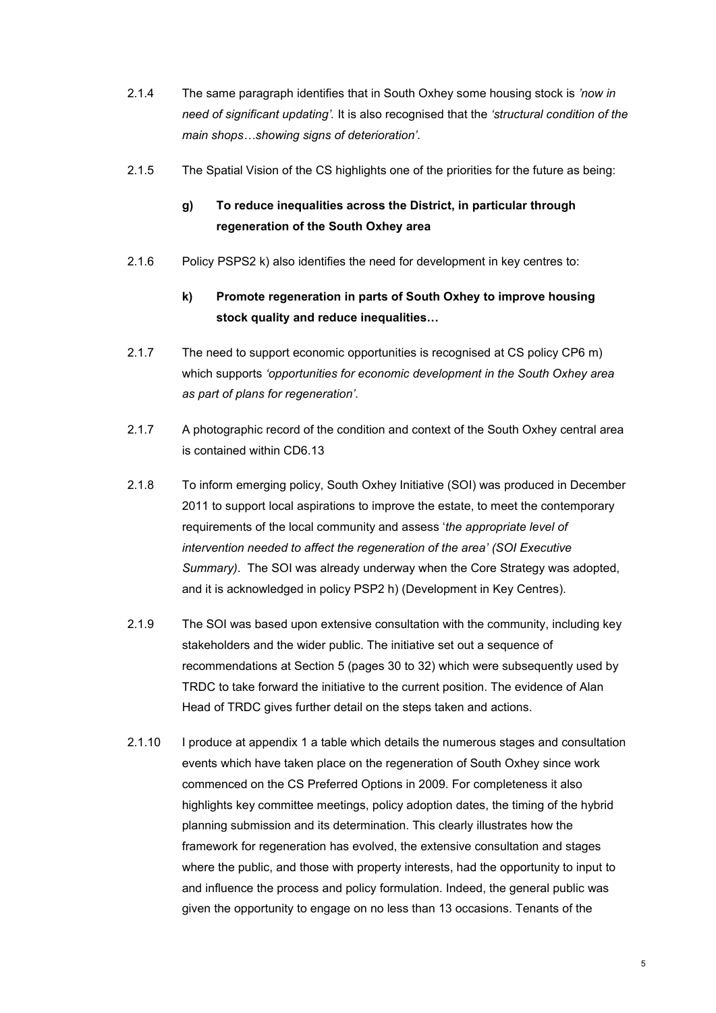- 2.1.4 The same paragraph identifies that in South Oxhey some housing stock is *'now in need of significant updating'.* It is also recognised that the *'structural condition of the main shops…showing signs of deterioration'*.
- 2.1.5 The Spatial Vision of the CS highlights one of the priorities for the future as being:

# **g) To reduce inequalities across the District, in particular through regeneration of the South Oxhey area**

- 2.1.6 Policy PSPS2 k) also identifies the need for development in key centres to:
	- **k) Promote regeneration in parts of South Oxhey to improve housing stock quality and reduce inequalities…**
- 2.1.7 The need to support economic opportunities is recognised at CS policy CP6 m) which supports *'opportunities for economic development in the South Oxhey area as part of plans for regeneration'*.
- 2.1.7 A photographic record of the condition and context of the South Oxhey central area is contained within CD6.13
- 2.1.8 To inform emerging policy, South Oxhey Initiative (SOI) was produced in December 2011 to support local aspirations to improve the estate, to meet the contemporary requirements of the local community and assess '*the appropriate level of intervention needed to affect the regeneration of the area' (SOI Executive Summary)*. The SOI was already underway when the Core Strategy was adopted, and it is acknowledged in policy PSP2 h) (Development in Key Centres).
- 2.1.9 The SOI was based upon extensive consultation with the community, including key stakeholders and the wider public. The initiative set out a sequence of recommendations at Section 5 (pages 30 to 32) which were subsequently used by TRDC to take forward the initiative to the current position. The evidence of Alan Head of TRDC gives further detail on the steps taken and actions.
- 2.1.10 I produce at appendix 1 a table which details the numerous stages and consultation events which have taken place on the regeneration of South Oxhey since work commenced on the CS Preferred Options in 2009. For completeness it also highlights key committee meetings, policy adoption dates, the timing of the hybrid planning submission and its determination. This clearly illustrates how the framework for regeneration has evolved, the extensive consultation and stages where the public, and those with property interests, had the opportunity to input to and influence the process and policy formulation. Indeed, the general public was given the opportunity to engage on no less than 13 occasions. Tenants of the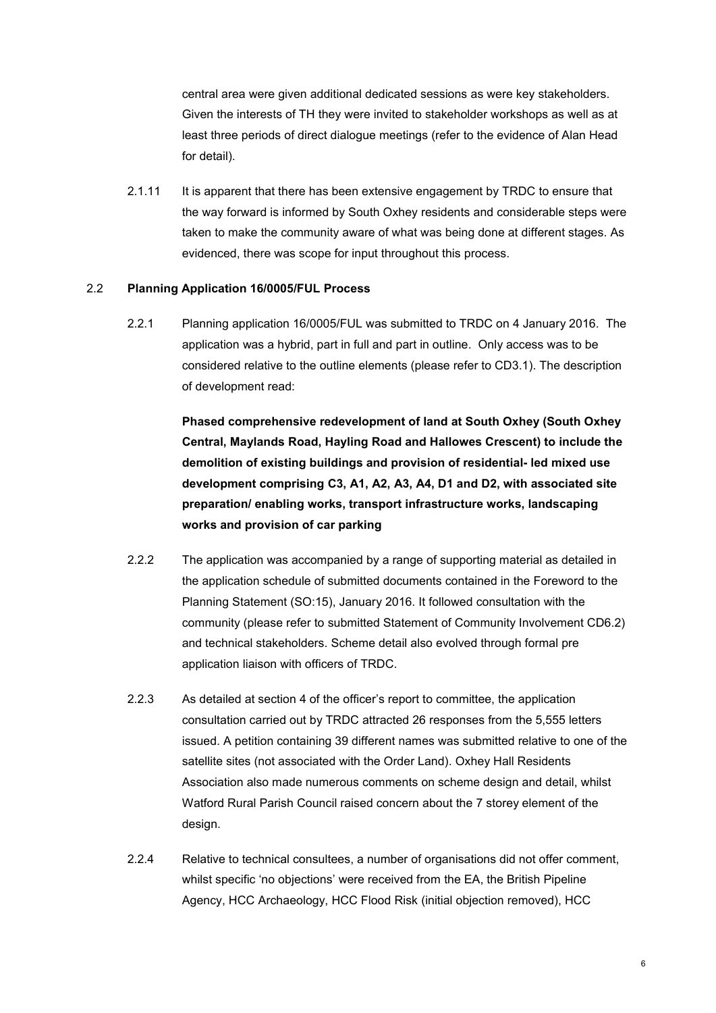central area were given additional dedicated sessions as were key stakeholders. Given the interests of TH they were invited to stakeholder workshops as well as at least three periods of direct dialogue meetings (refer to the evidence of Alan Head for detail).

2.1.11 It is apparent that there has been extensive engagement by TRDC to ensure that the way forward is informed by South Oxhey residents and considerable steps were taken to make the community aware of what was being done at different stages. As evidenced, there was scope for input throughout this process.

### 2.2 **Planning Application 16/0005/FUL Process**

<span id="page-5-0"></span>2.2.1 Planning application 16/0005/FUL was submitted to TRDC on 4 January 2016. The application was a hybrid, part in full and part in outline. Only access was to be considered relative to the outline elements (please refer to CD3.1). The description of development read:

> **Phased comprehensive redevelopment of land at South Oxhey (South Oxhey Central, Maylands Road, Hayling Road and Hallowes Crescent) to include the demolition of existing buildings and provision of residential- led mixed use development comprising C3, A1, A2, A3, A4, D1 and D2, with associated site preparation/ enabling works, transport infrastructure works, landscaping works and provision of car parking**

- 2.2.2 The application was accompanied by a range of supporting material as detailed in the application schedule of submitted documents contained in the Foreword to the Planning Statement (SO:15), January 2016. It followed consultation with the community (please refer to submitted Statement of Community Involvement CD6.2) and technical stakeholders. Scheme detail also evolved through formal pre application liaison with officers of TRDC.
- 2.2.3 As detailed at section 4 of the officer's report to committee, the application consultation carried out by TRDC attracted 26 responses from the 5,555 letters issued. A petition containing 39 different names was submitted relative to one of the satellite sites (not associated with the Order Land). Oxhey Hall Residents Association also made numerous comments on scheme design and detail, whilst Watford Rural Parish Council raised concern about the 7 storey element of the design.
- 2.2.4 Relative to technical consultees, a number of organisations did not offer comment, whilst specific 'no objections' were received from the EA, the British Pipeline Agency, HCC Archaeology, HCC Flood Risk (initial objection removed), HCC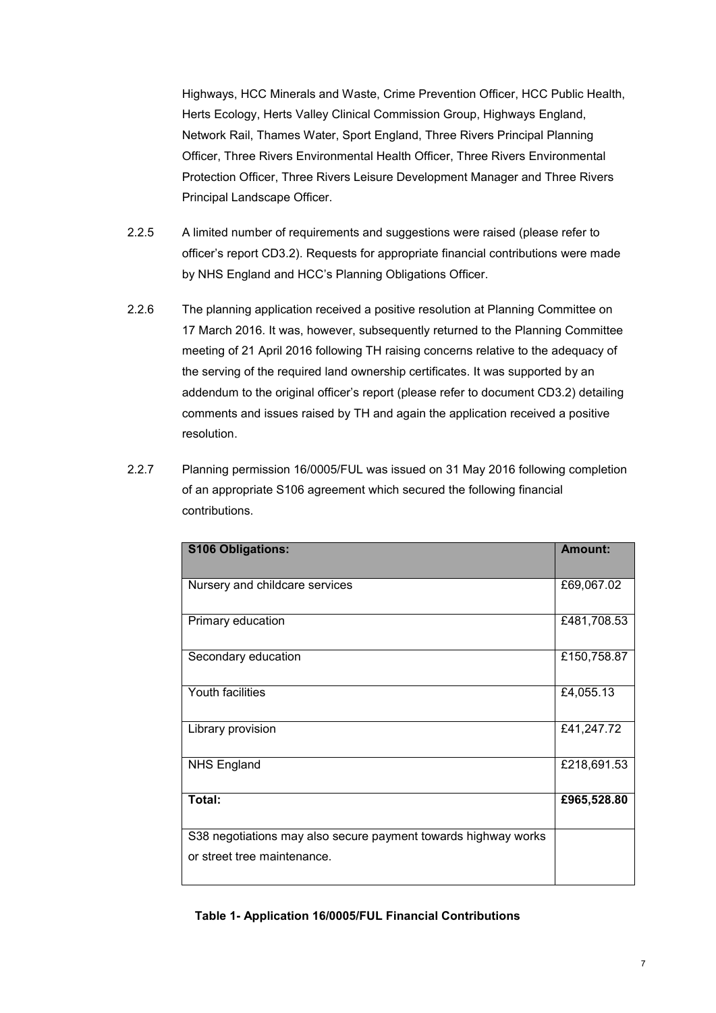Highways, HCC Minerals and Waste, Crime Prevention Officer, HCC Public Health, Herts Ecology, Herts Valley Clinical Commission Group, Highways England, Network Rail, Thames Water, Sport England, Three Rivers Principal Planning Officer, Three Rivers Environmental Health Officer, Three Rivers Environmental Protection Officer, Three Rivers Leisure Development Manager and Three Rivers Principal Landscape Officer.

- 2.2.5 A limited number of requirements and suggestions were raised (please refer to officer's report CD3.2). Requests for appropriate financial contributions were made by NHS England and HCC's Planning Obligations Officer.
- 2.2.6 The planning application received a positive resolution at Planning Committee on 17 March 2016. It was, however, subsequently returned to the Planning Committee meeting of 21 April 2016 following TH raising concerns relative to the adequacy of the serving of the required land ownership certificates. It was supported by an addendum to the original officer's report (please refer to document CD3.2) detailing comments and issues raised by TH and again the application received a positive resolution.
- 2.2.7 Planning permission 16/0005/FUL was issued on 31 May 2016 following completion of an appropriate S106 agreement which secured the following financial contributions.

| <b>S106 Obligations:</b>                                                                      | <b>Amount:</b> |
|-----------------------------------------------------------------------------------------------|----------------|
| Nursery and childcare services                                                                | £69,067.02     |
| Primary education                                                                             | £481,708.53    |
| Secondary education                                                                           | £150,758.87    |
| Youth facilities                                                                              | £4,055.13      |
| Library provision                                                                             | £41,247.72     |
| <b>NHS England</b>                                                                            | £218,691.53    |
| Total:                                                                                        | £965,528.80    |
| S38 negotiations may also secure payment towards highway works<br>or street tree maintenance. |                |

### **Table 1- Application 16/0005/FUL Financial Contributions**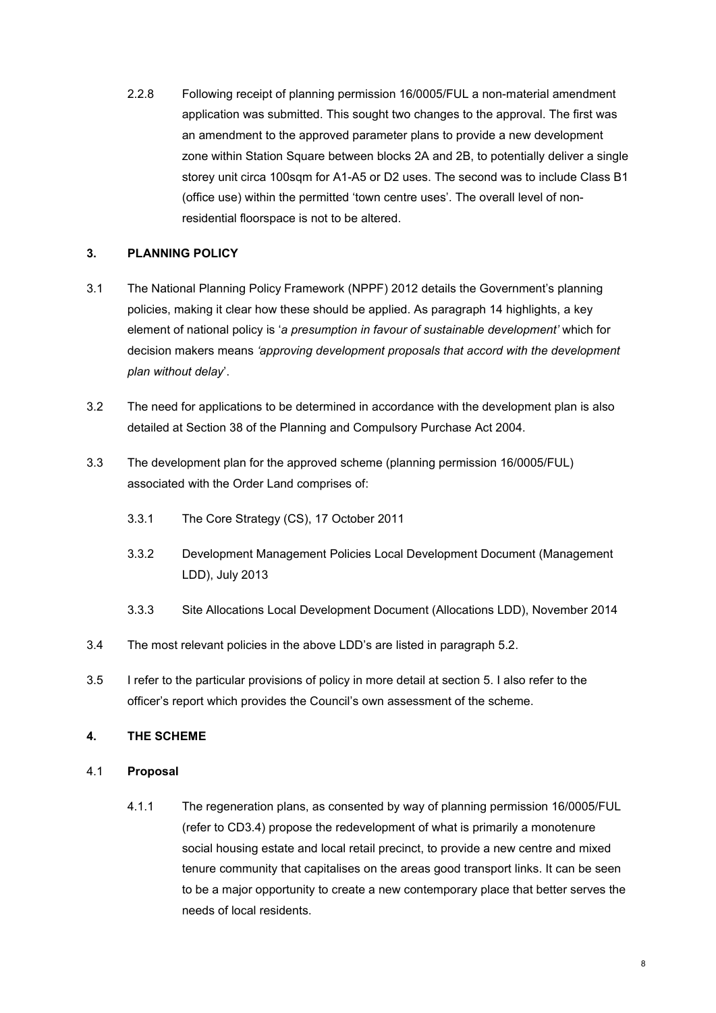2.2.8 Following receipt of planning permission 16/0005/FUL a non-material amendment application was submitted. This sought two changes to the approval. The first was an amendment to the approved parameter plans to provide a new development zone within Station Square between blocks 2A and 2B, to potentially deliver a single storey unit circa 100sqm for A1-A5 or D2 uses. The second was to include Class B1 (office use) within the permitted 'town centre uses'. The overall level of nonresidential floorspace is not to be altered.

# <span id="page-7-0"></span>**3. PLANNING POLICY**

- 3.1 The National Planning Policy Framework (NPPF) 2012 details the Government's planning policies, making it clear how these should be applied. As paragraph 14 highlights, a key element of national policy is '*a presumption in favour of sustainable development'* which for decision makers means *'approving development proposals that accord with the development plan without delay*'.
- 3.2 The need for applications to be determined in accordance with the development plan is also detailed at Section 38 of the Planning and Compulsory Purchase Act 2004.
- 3.3 The development plan for the approved scheme (planning permission 16/0005/FUL) associated with the Order Land comprises of:
	- 3.3.1 The Core Strategy (CS), 17 October 2011
	- 3.3.2 Development Management Policies Local Development Document (Management LDD), July 2013
	- 3.3.3 Site Allocations Local Development Document (Allocations LDD), November 2014
- 3.4 The most relevant policies in the above LDD's are listed in paragraph 5.2.
- 3.5 I refer to the particular provisions of policy in more detail at section 5. I also refer to the officer's report which provides the Council's own assessment of the scheme.

### <span id="page-7-1"></span>**4. THE SCHEME**

### 4.1 **Proposal**

<span id="page-7-2"></span>4.1.1 The regeneration plans, as consented by way of planning permission 16/0005/FUL (refer to CD3.4) propose the redevelopment of what is primarily a monotenure social housing estate and local retail precinct, to provide a new centre and mixed tenure community that capitalises on the areas good transport links. It can be seen to be a major opportunity to create a new contemporary place that better serves the needs of local residents.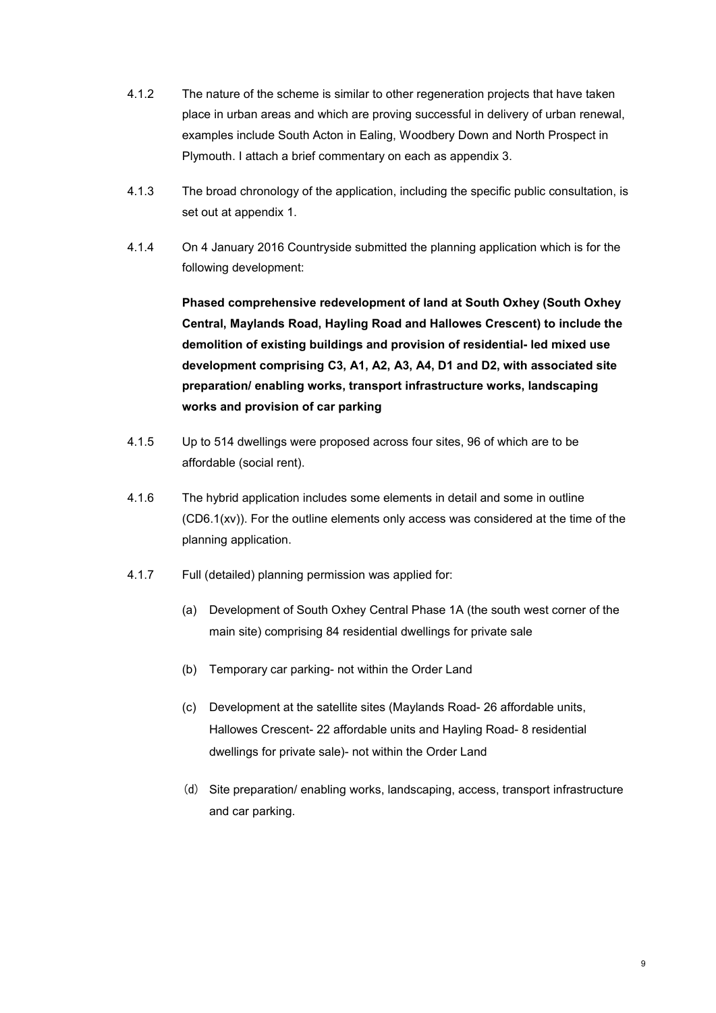- 4.1.2 The nature of the scheme is similar to other regeneration projects that have taken place in urban areas and which are proving successful in delivery of urban renewal, examples include South Acton in Ealing, Woodbery Down and North Prospect in Plymouth. I attach a brief commentary on each as appendix 3.
- 4.1.3 The broad chronology of the application, including the specific public consultation, is set out at appendix 1.
- 4.1.4 On 4 January 2016 Countryside submitted the planning application which is for the following development:

**Phased comprehensive redevelopment of land at South Oxhey (South Oxhey Central, Maylands Road, Hayling Road and Hallowes Crescent) to include the demolition of existing buildings and provision of residential- led mixed use development comprising C3, A1, A2, A3, A4, D1 and D2, with associated site preparation/ enabling works, transport infrastructure works, landscaping works and provision of car parking**

- 4.1.5 Up to 514 dwellings were proposed across four sites, 96 of which are to be affordable (social rent).
- 4.1.6 The hybrid application includes some elements in detail and some in outline  $(CD6.1(xv))$ . For the outline elements only access was considered at the time of the planning application.
- 4.1.7 Full (detailed) planning permission was applied for:
	- (a) Development of South Oxhey Central Phase 1A (the south west corner of the main site) comprising 84 residential dwellings for private sale
	- (b) Temporary car parking- not within the Order Land
	- (c) Development at the satellite sites (Maylands Road- 26 affordable units, Hallowes Crescent- 22 affordable units and Hayling Road- 8 residential dwellings for private sale)- not within the Order Land
	- (d) Site preparation/ enabling works, landscaping, access, transport infrastructure and car parking.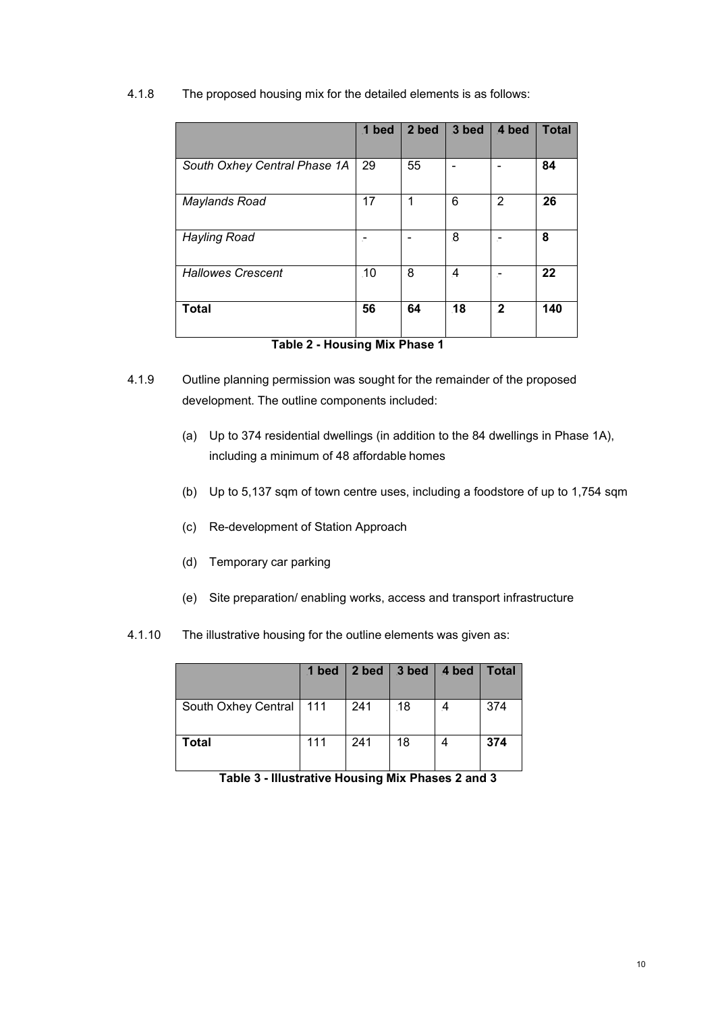4.1.8 The proposed housing mix for the detailed elements is as follows:

|                              | 1 bed     | 2 bed                                | 3 bed | 4 bed        | <b>Total</b> |
|------------------------------|-----------|--------------------------------------|-------|--------------|--------------|
| South Oxhey Central Phase 1A | 29        | 55                                   |       |              | 84           |
| Maylands Road                | 17        | 1                                    | 6     | 2            | 26           |
| <b>Hayling Road</b>          |           |                                      | 8     |              | 8            |
| <b>Hallowes Crescent</b>     | .10       | 8                                    | 4     | F.           | 22           |
| <b>Total</b><br>-<br>. .     | 56<br>--- | 64<br>$\overline{\phantom{a}}$<br>-- | 18    | $\mathbf{2}$ | 140          |

- 4.1.9 Outline planning permission was sought for the remainder of the proposed development. The outline components included:
	- (a) Up to 374 residential dwellings (in addition to the 84 dwellings in Phase 1A), including a minimum of 48 affordable homes
	- (b) Up to 5,137 sqm of town centre uses, including a foodstore of up to 1,754 sqm
	- (c) Re-development of Station Approach
	- (d) Temporary car parking
	- (e) Site preparation/ enabling works, access and transport infrastructure
- 4.1.10 The illustrative housing for the outline elements was given as:

|                     | 1 bed |     | $\vert$ 2 bed $\vert$ 3 bed | $ $ 4 bed | <b>Total</b> |
|---------------------|-------|-----|-----------------------------|-----------|--------------|
| South Oxhey Central | 111   | 241 | .18                         |           | 374          |
| Total               | 111   | 241 | 18                          |           | 374          |

| Table 3 - Illustrative Housing Mix Phases 2 and 3 |  |  |
|---------------------------------------------------|--|--|
|---------------------------------------------------|--|--|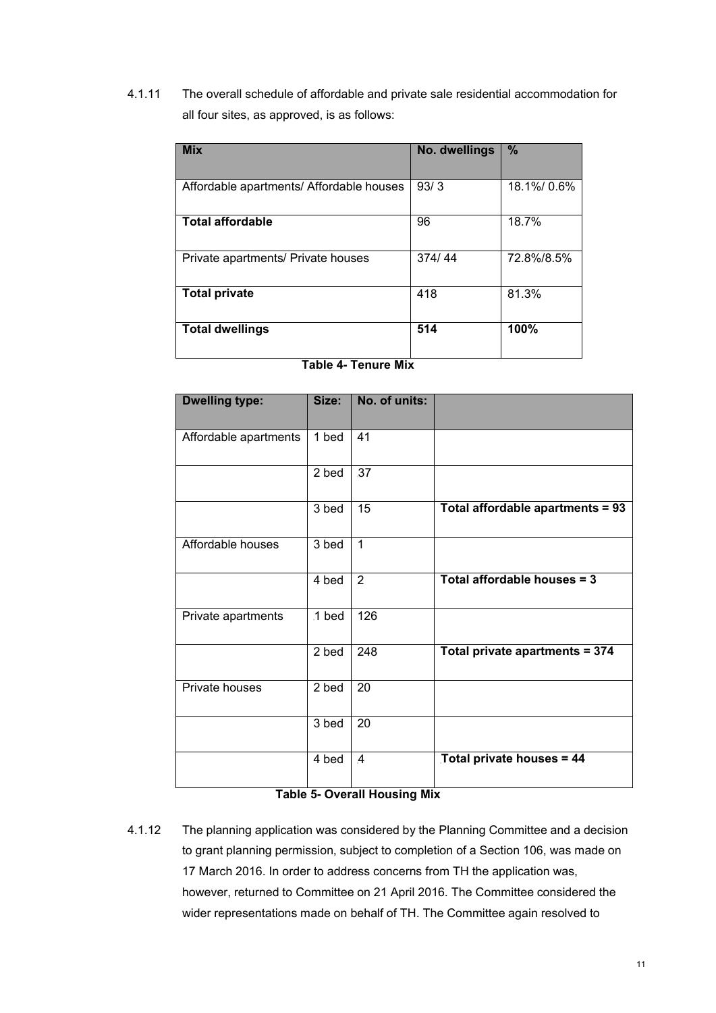4.1.11 The overall schedule of affordable and private sale residential accommodation for all four sites, as approved, is as follows:

| <b>Mix</b>                               | No. dwellings | $\%$       |
|------------------------------------------|---------------|------------|
| Affordable apartments/ Affordable houses | 93/3          | 18.1%/0.6% |
| <b>Total affordable</b>                  | 96            | 18.7%      |
| Private apartments/ Private houses       | 374/44        | 72.8%/8.5% |
| <b>Total private</b>                     | 418           | 81.3%      |
| <b>Total dwellings</b>                   | 514           | 100%       |

| <b>Dwelling type:</b> | Size:   | No. of units:    |                                  |
|-----------------------|---------|------------------|----------------------------------|
| Affordable apartments | 1 bed   | 41               |                                  |
|                       | 2 bed   | $\overline{37}$  |                                  |
|                       | 3 bed   | 15               | Total affordable apartments = 93 |
| Affordable houses     | 3 bed   | $\overline{1}$   |                                  |
|                       | 4 bed   | $\overline{2}$   | Total affordable houses = 3      |
| Private apartments    | 1 bed   | 126              |                                  |
|                       | $2$ bed | $\overline{248}$ | Total private apartments = 374   |
| Private houses        | 2 bed   | $\overline{20}$  |                                  |
|                       | 3 bed   | 20               |                                  |
|                       | 4 bed   | $\overline{A}$   | Total private houses = 44        |

### **Table 5- Overall Housing Mix**

<sup>4.1.12</sup> The planning application was considered by the Planning Committee and a decision to grant planning permission, subject to completion of a Section 106, was made on 17 March 2016. In order to address concerns from TH the application was, however, returned to Committee on 21 April 2016. The Committee considered the wider representations made on behalf of TH. The Committee again resolved to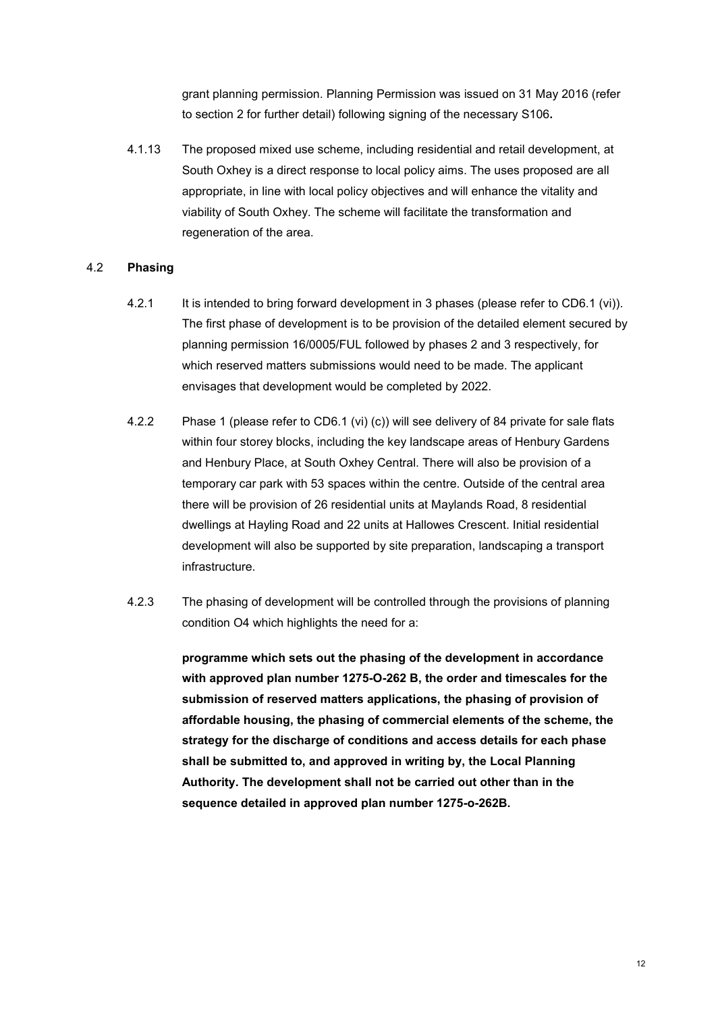grant planning permission. Planning Permission was issued on 31 May 2016 (refer to section 2 for further detail) following signing of the necessary S106**.** 

4.1.13 The proposed mixed use scheme, including residential and retail development, at South Oxhey is a direct response to local policy aims. The uses proposed are all appropriate, in line with local policy objectives and will enhance the vitality and viability of South Oxhey. The scheme will facilitate the transformation and regeneration of the area.

### 4.2 **Phasing**

- <span id="page-11-0"></span>4.2.1 It is intended to bring forward development in 3 phases (please refer to CD6.1 (vi)). The first phase of development is to be provision of the detailed element secured by planning permission 16/0005/FUL followed by phases 2 and 3 respectively, for which reserved matters submissions would need to be made. The applicant envisages that development would be completed by 2022.
- 4.2.2 Phase 1 (please refer to CD6.1 (vi) (c)) will see delivery of 84 private for sale flats within four storey blocks, including the key landscape areas of Henbury Gardens and Henbury Place, at South Oxhey Central. There will also be provision of a temporary car park with 53 spaces within the centre. Outside of the central area there will be provision of 26 residential units at Maylands Road, 8 residential dwellings at Hayling Road and 22 units at Hallowes Crescent. Initial residential development will also be supported by site preparation, landscaping a transport infrastructure.
- 4.2.3 The phasing of development will be controlled through the provisions of planning condition O4 which highlights the need for a:

**programme which sets out the phasing of the development in accordance with approved plan number 1275-O-262 B, the order and timescales for the submission of reserved matters applications, the phasing of provision of affordable housing, the phasing of commercial elements of the scheme, the strategy for the discharge of conditions and access details for each phase shall be submitted to, and approved in writing by, the Local Planning Authority. The development shall not be carried out other than in the sequence detailed in approved plan number 1275-o-262B.**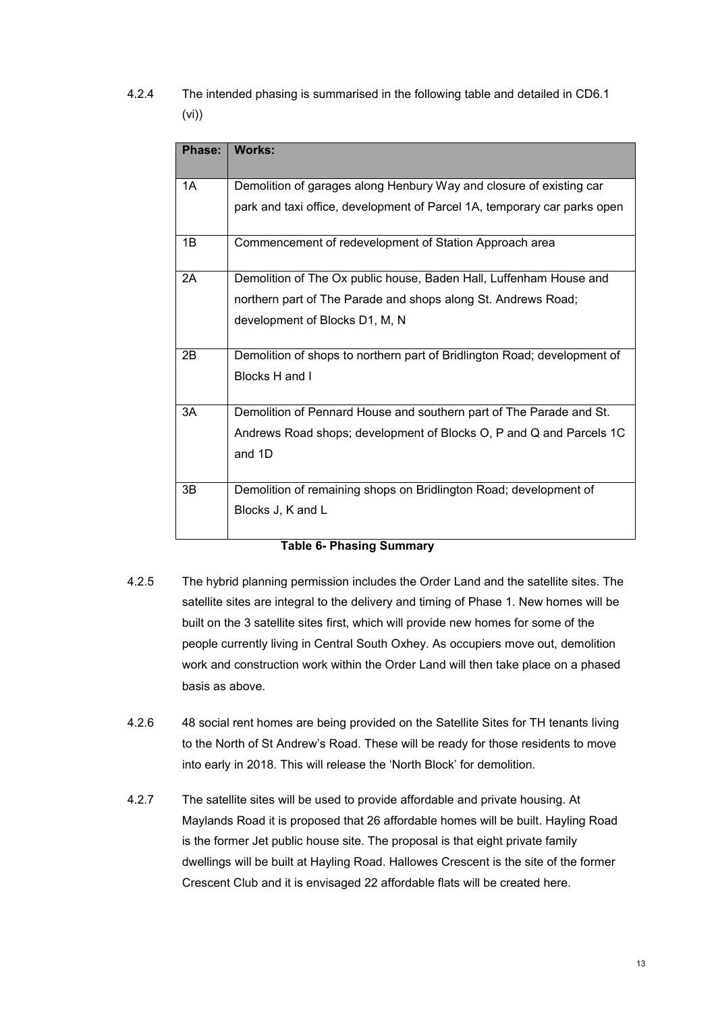4.2.4 The intended phasing is summarised in the following table and detailed in CD6.1 (vi))

| Phase: | <b>Works:</b>                                                            |
|--------|--------------------------------------------------------------------------|
| 1A     | Demolition of garages along Henbury Way and closure of existing car      |
|        | park and taxi office, development of Parcel 1A, temporary car parks open |
| 1B     | Commencement of redevelopment of Station Approach area                   |
| 2A     | Demolition of The Ox public house, Baden Hall, Luffenham House and       |
|        | northern part of The Parade and shops along St. Andrews Road;            |
|        | development of Blocks D1, M, N                                           |
| 2B     | Demolition of shops to northern part of Bridlington Road; development of |
|        | Blocks H and I                                                           |
| 3A     | Demolition of Pennard House and southern part of The Parade and St.      |
|        | Andrews Road shops; development of Blocks O, P and Q and Parcels 1C      |
|        | and 1D                                                                   |
| 3B     | Demolition of remaining shops on Bridlington Road; development of        |
|        | Blocks J, K and L                                                        |

### **Table 6- Phasing Summary**

- 4.2.5 The hybrid planning permission includes the Order Land and the satellite sites. The satellite sites are integral to the delivery and timing of Phase 1. New homes will be built on the 3 satellite sites first, which will provide new homes for some of the people currently living in Central South Oxhey. As occupiers move out, demolition work and construction work within the Order Land will then take place on a phased basis as above.
- 4.2.6 48 social rent homes are being provided on the Satellite Sites for TH tenants living to the North of St Andrew's Road. These will be ready for those residents to move into early in 2018. This will release the 'North Block' for demolition.
- 4.2.7 The satellite sites will be used to provide affordable and private housing. At Maylands Road it is proposed that 26 affordable homes will be built. Hayling Road is the former Jet public house site. The proposal is that eight private family dwellings will be built at Hayling Road. Hallowes Crescent is the site of the former Crescent Club and it is envisaged 22 affordable flats will be created here.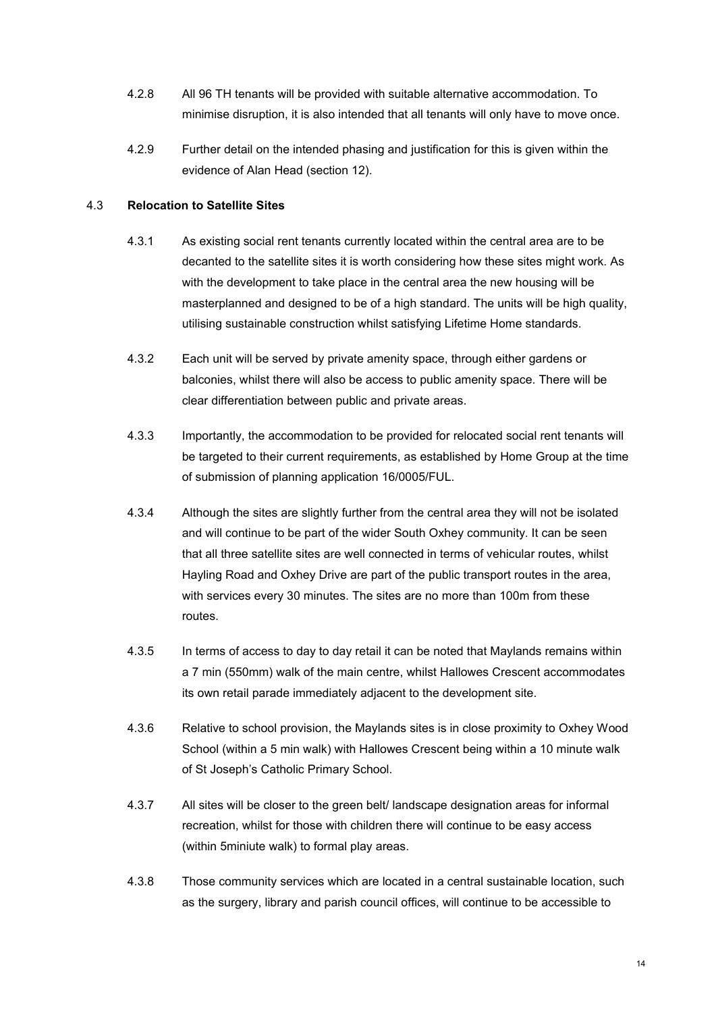- 4.2.8 All 96 TH tenants will be provided with suitable alternative accommodation. To minimise disruption, it is also intended that all tenants will only have to move once.
- 4.2.9 Further detail on the intended phasing and justification for this is given within the evidence of Alan Head (section 12).

## 4.3 **Relocation to Satellite Sites**

- <span id="page-13-0"></span>4.3.1 As existing social rent tenants currently located within the central area are to be decanted to the satellite sites it is worth considering how these sites might work. As with the development to take place in the central area the new housing will be masterplanned and designed to be of a high standard. The units will be high quality, utilising sustainable construction whilst satisfying Lifetime Home standards.
- 4.3.2 Each unit will be served by private amenity space, through either gardens or balconies, whilst there will also be access to public amenity space. There will be clear differentiation between public and private areas.
- 4.3.3 Importantly, the accommodation to be provided for relocated social rent tenants will be targeted to their current requirements, as established by Home Group at the time of submission of planning application 16/0005/FUL.
- 4.3.4 Although the sites are slightly further from the central area they will not be isolated and will continue to be part of the wider South Oxhey community. It can be seen that all three satellite sites are well connected in terms of vehicular routes, whilst Hayling Road and Oxhey Drive are part of the public transport routes in the area, with services every 30 minutes. The sites are no more than 100m from these routes.
- 4.3.5 In terms of access to day to day retail it can be noted that Maylands remains within a 7 min (550mm) walk of the main centre, whilst Hallowes Crescent accommodates its own retail parade immediately adjacent to the development site.
- 4.3.6 Relative to school provision, the Maylands sites is in close proximity to Oxhey Wood School (within a 5 min walk) with Hallowes Crescent being within a 10 minute walk of St Joseph's Catholic Primary School.
- 4.3.7 All sites will be closer to the green belt/ landscape designation areas for informal recreation, whilst for those with children there will continue to be easy access (within 5miniute walk) to formal play areas.
- 4.3.8 Those community services which are located in a central sustainable location, such as the surgery, library and parish council offices, will continue to be accessible to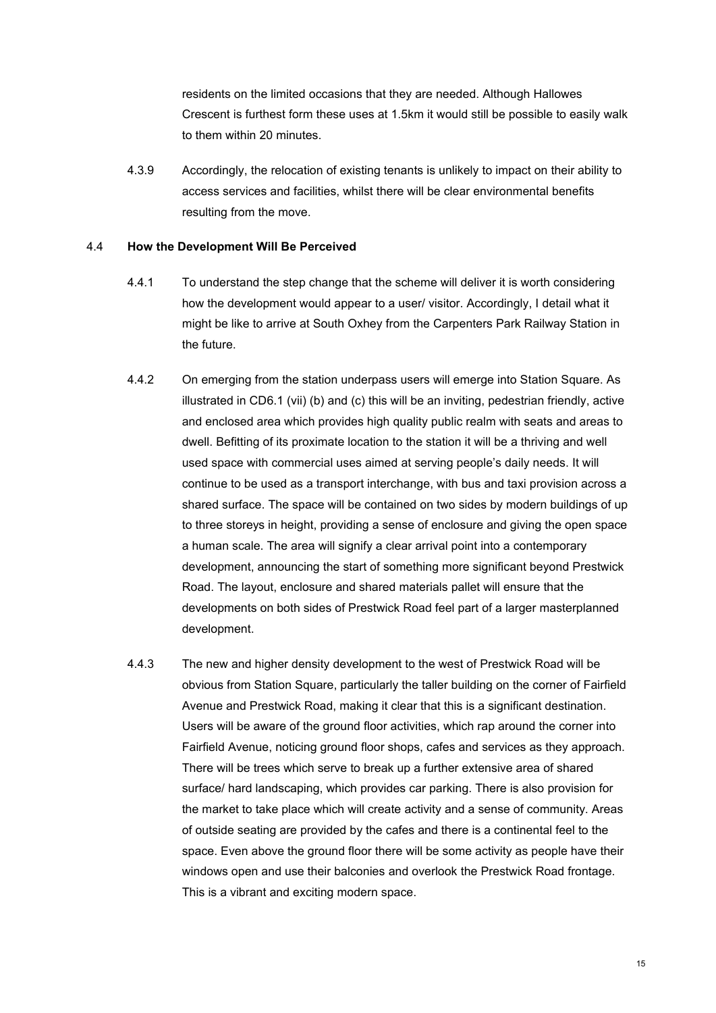residents on the limited occasions that they are needed. Although Hallowes Crescent is furthest form these uses at 1.5km it would still be possible to easily walk to them within 20 minutes.

4.3.9 Accordingly, the relocation of existing tenants is unlikely to impact on their ability to access services and facilities, whilst there will be clear environmental benefits resulting from the move.

#### 4.4 **How the Development Will Be Perceived**

- <span id="page-14-0"></span>4.4.1 To understand the step change that the scheme will deliver it is worth considering how the development would appear to a user/ visitor. Accordingly, I detail what it might be like to arrive at South Oxhey from the Carpenters Park Railway Station in the future.
- 4.4.2 On emerging from the station underpass users will emerge into Station Square. As illustrated in CD6.1 (vii) (b) and (c) this will be an inviting, pedestrian friendly, active and enclosed area which provides high quality public realm with seats and areas to dwell. Befitting of its proximate location to the station it will be a thriving and well used space with commercial uses aimed at serving people's daily needs. It will continue to be used as a transport interchange, with bus and taxi provision across a shared surface. The space will be contained on two sides by modern buildings of up to three storeys in height, providing a sense of enclosure and giving the open space a human scale. The area will signify a clear arrival point into a contemporary development, announcing the start of something more significant beyond Prestwick Road. The layout, enclosure and shared materials pallet will ensure that the developments on both sides of Prestwick Road feel part of a larger masterplanned development.
- 4.4.3 The new and higher density development to the west of Prestwick Road will be obvious from Station Square, particularly the taller building on the corner of Fairfield Avenue and Prestwick Road, making it clear that this is a significant destination. Users will be aware of the ground floor activities, which rap around the corner into Fairfield Avenue, noticing ground floor shops, cafes and services as they approach. There will be trees which serve to break up a further extensive area of shared surface/ hard landscaping, which provides car parking. There is also provision for the market to take place which will create activity and a sense of community. Areas of outside seating are provided by the cafes and there is a continental feel to the space. Even above the ground floor there will be some activity as people have their windows open and use their balconies and overlook the Prestwick Road frontage. This is a vibrant and exciting modern space.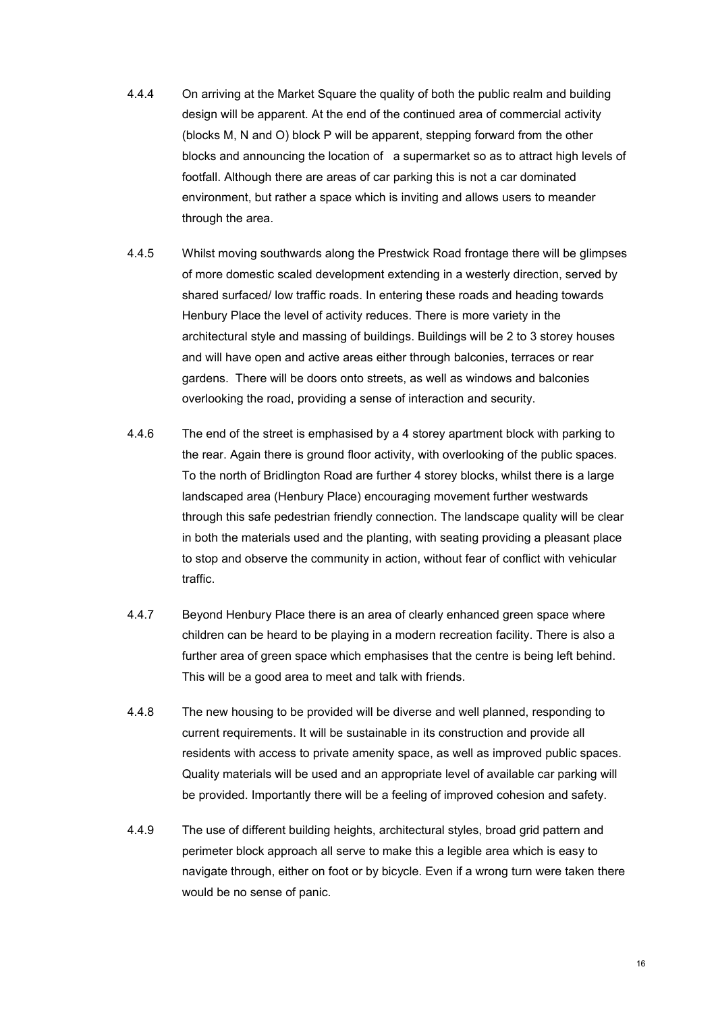- 4.4.4 On arriving at the Market Square the quality of both the public realm and building design will be apparent. At the end of the continued area of commercial activity (blocks M, N and O) block P will be apparent, stepping forward from the other blocks and announcing the location of a supermarket so as to attract high levels of footfall. Although there are areas of car parking this is not a car dominated environment, but rather a space which is inviting and allows users to meander through the area.
- 4.4.5 Whilst moving southwards along the Prestwick Road frontage there will be glimpses of more domestic scaled development extending in a westerly direction, served by shared surfaced/ low traffic roads. In entering these roads and heading towards Henbury Place the level of activity reduces. There is more variety in the architectural style and massing of buildings. Buildings will be 2 to 3 storey houses and will have open and active areas either through balconies, terraces or rear gardens. There will be doors onto streets, as well as windows and balconies overlooking the road, providing a sense of interaction and security.
- 4.4.6 The end of the street is emphasised by a 4 storey apartment block with parking to the rear. Again there is ground floor activity, with overlooking of the public spaces. To the north of Bridlington Road are further 4 storey blocks, whilst there is a large landscaped area (Henbury Place) encouraging movement further westwards through this safe pedestrian friendly connection. The landscape quality will be clear in both the materials used and the planting, with seating providing a pleasant place to stop and observe the community in action, without fear of conflict with vehicular traffic.
- 4.4.7 Beyond Henbury Place there is an area of clearly enhanced green space where children can be heard to be playing in a modern recreation facility. There is also a further area of green space which emphasises that the centre is being left behind. This will be a good area to meet and talk with friends.
- 4.4.8 The new housing to be provided will be diverse and well planned, responding to current requirements. It will be sustainable in its construction and provide all residents with access to private amenity space, as well as improved public spaces. Quality materials will be used and an appropriate level of available car parking will be provided. Importantly there will be a feeling of improved cohesion and safety.
- 4.4.9 The use of different building heights, architectural styles, broad grid pattern and perimeter block approach all serve to make this a legible area which is easy to navigate through, either on foot or by bicycle. Even if a wrong turn were taken there would be no sense of panic.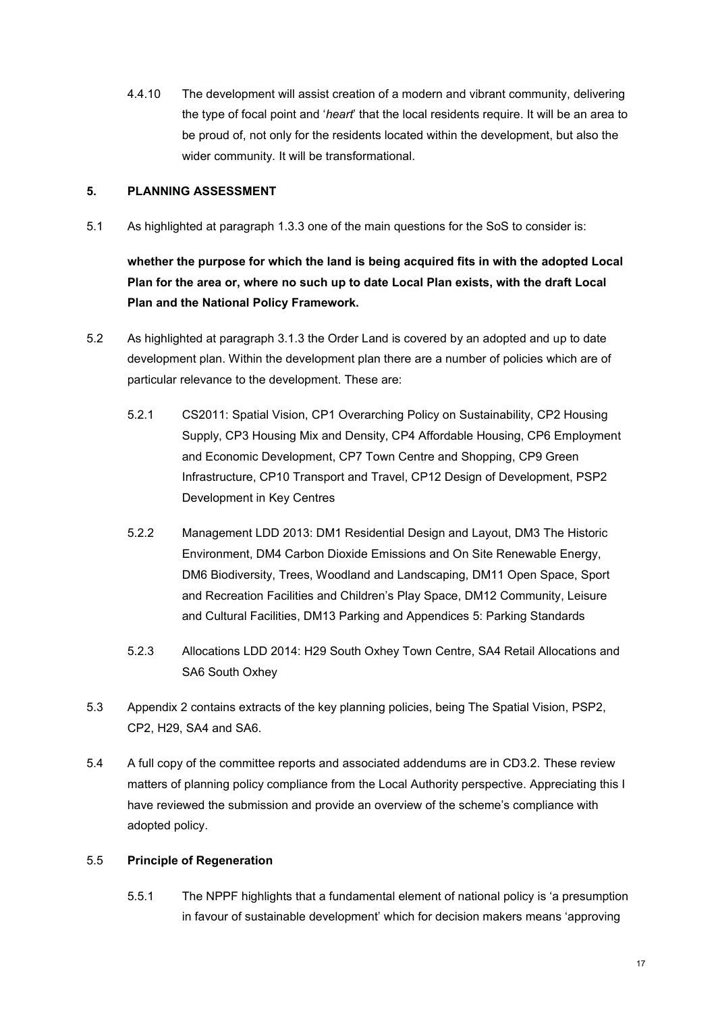4.4.10 The development will assist creation of a modern and vibrant community, delivering the type of focal point and '*heart*' that the local residents require. It will be an area to be proud of, not only for the residents located within the development, but also the wider community. It will be transformational.

### <span id="page-16-0"></span>**5. PLANNING ASSESSMENT**

5.1 As highlighted at paragraph 1.3.3 one of the main questions for the SoS to consider is:

**whether the purpose for which the land is being acquired fits in with the adopted Local Plan for the area or, where no such up to date Local Plan exists, with the draft Local Plan and the National Policy Framework.**

- 5.2 As highlighted at paragraph 3.1.3 the Order Land is covered by an adopted and up to date development plan. Within the development plan there are a number of policies which are of particular relevance to the development. These are:
	- 5.2.1 CS2011: Spatial Vision, CP1 Overarching Policy on Sustainability, CP2 Housing Supply, CP3 Housing Mix and Density, CP4 Affordable Housing, CP6 Employment and Economic Development, CP7 Town Centre and Shopping, CP9 Green Infrastructure, CP10 Transport and Travel, CP12 Design of Development, PSP2 Development in Key Centres
	- 5.2.2 Management LDD 2013: DM1 Residential Design and Layout, DM3 The Historic Environment, DM4 Carbon Dioxide Emissions and On Site Renewable Energy, DM6 Biodiversity, Trees, Woodland and Landscaping, DM11 Open Space, Sport and Recreation Facilities and Children's Play Space, DM12 Community, Leisure and Cultural Facilities, DM13 Parking and Appendices 5: Parking Standards
	- 5.2.3 Allocations LDD 2014: H29 South Oxhey Town Centre, SA4 Retail Allocations and SA6 South Oxhey
- 5.3 Appendix 2 contains extracts of the key planning policies, being The Spatial Vision, PSP2, CP2, H29, SA4 and SA6.
- 5.4 A full copy of the committee reports and associated addendums are in CD3.2. These review matters of planning policy compliance from the Local Authority perspective. Appreciating this I have reviewed the submission and provide an overview of the scheme's compliance with adopted policy.

# 5.5 **Principle of Regeneration**

<span id="page-16-1"></span>5.5.1 The NPPF highlights that a fundamental element of national policy is 'a presumption in favour of sustainable development' which for decision makers means 'approving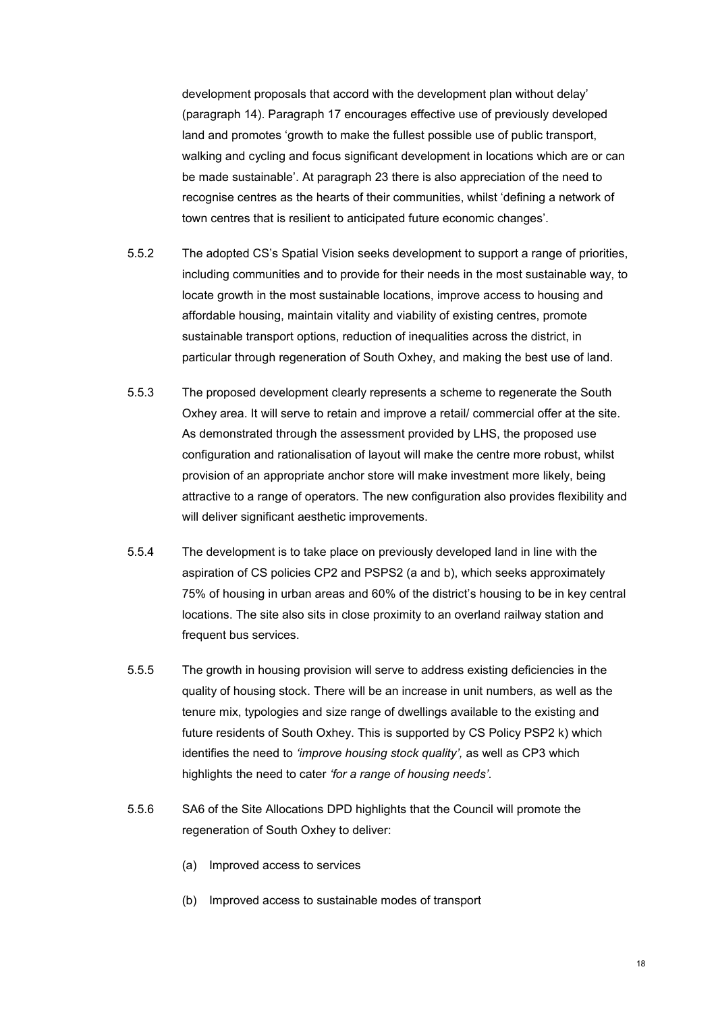development proposals that accord with the development plan without delay' (paragraph 14). Paragraph 17 encourages effective use of previously developed land and promotes 'growth to make the fullest possible use of public transport, walking and cycling and focus significant development in locations which are or can be made sustainable'. At paragraph 23 there is also appreciation of the need to recognise centres as the hearts of their communities, whilst 'defining a network of town centres that is resilient to anticipated future economic changes'.

- 5.5.2 The adopted CS's Spatial Vision seeks development to support a range of priorities, including communities and to provide for their needs in the most sustainable way, to locate growth in the most sustainable locations, improve access to housing and affordable housing, maintain vitality and viability of existing centres, promote sustainable transport options, reduction of inequalities across the district, in particular through regeneration of South Oxhey, and making the best use of land.
- 5.5.3 The proposed development clearly represents a scheme to regenerate the South Oxhey area. It will serve to retain and improve a retail/ commercial offer at the site. As demonstrated through the assessment provided by LHS, the proposed use configuration and rationalisation of layout will make the centre more robust, whilst provision of an appropriate anchor store will make investment more likely, being attractive to a range of operators. The new configuration also provides flexibility and will deliver significant aesthetic improvements.
- 5.5.4 The development is to take place on previously developed land in line with the aspiration of CS policies CP2 and PSPS2 (a and b), which seeks approximately 75% of housing in urban areas and 60% of the district's housing to be in key central locations. The site also sits in close proximity to an overland railway station and frequent bus services.
- 5.5.5 The growth in housing provision will serve to address existing deficiencies in the quality of housing stock. There will be an increase in unit numbers, as well as the tenure mix, typologies and size range of dwellings available to the existing and future residents of South Oxhey. This is supported by CS Policy PSP2 k) which identifies the need to *'improve housing stock quality',* as well as CP3 which highlights the need to cater *'for a range of housing needs'*.
- 5.5.6 SA6 of the Site Allocations DPD highlights that the Council will promote the regeneration of South Oxhey to deliver:
	- (a) Improved access to services
	- (b) Improved access to sustainable modes of transport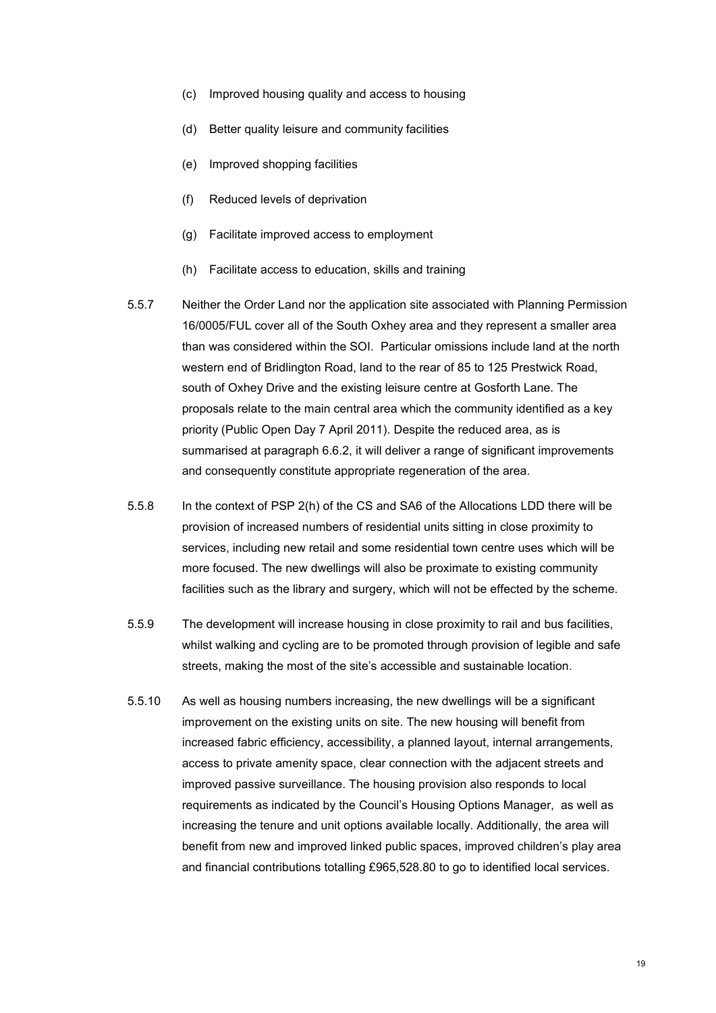- (c) Improved housing quality and access to housing
- (d) Better quality leisure and community facilities
- (e) Improved shopping facilities
- (f) Reduced levels of deprivation
- (g) Facilitate improved access to employment
- (h) Facilitate access to education, skills and training
- 5.5.7 Neither the Order Land nor the application site associated with Planning Permission 16/0005/FUL cover all of the South Oxhey area and they represent a smaller area than was considered within the SOI. Particular omissions include land at the north western end of Bridlington Road, land to the rear of 85 to 125 Prestwick Road, south of Oxhey Drive and the existing leisure centre at Gosforth Lane. The proposals relate to the main central area which the community identified as a key priority (Public Open Day 7 April 2011). Despite the reduced area, as is summarised at paragraph 6.6.2, it will deliver a range of significant improvements and consequently constitute appropriate regeneration of the area.
- 5.5.8 In the context of PSP 2(h) of the CS and SA6 of the Allocations LDD there will be provision of increased numbers of residential units sitting in close proximity to services, including new retail and some residential town centre uses which will be more focused. The new dwellings will also be proximate to existing community facilities such as the library and surgery, which will not be effected by the scheme.
- 5.5.9 The development will increase housing in close proximity to rail and bus facilities, whilst walking and cycling are to be promoted through provision of legible and safe streets, making the most of the site's accessible and sustainable location.
- 5.5.10 As well as housing numbers increasing, the new dwellings will be a significant improvement on the existing units on site. The new housing will benefit from increased fabric efficiency, accessibility, a planned layout, internal arrangements, access to private amenity space, clear connection with the adjacent streets and improved passive surveillance. The housing provision also responds to local requirements as indicated by the Council's Housing Options Manager, as well as increasing the tenure and unit options available locally. Additionally, the area will benefit from new and improved linked public spaces, improved children's play area and financial contributions totalling £965,528.80 to go to identified local services.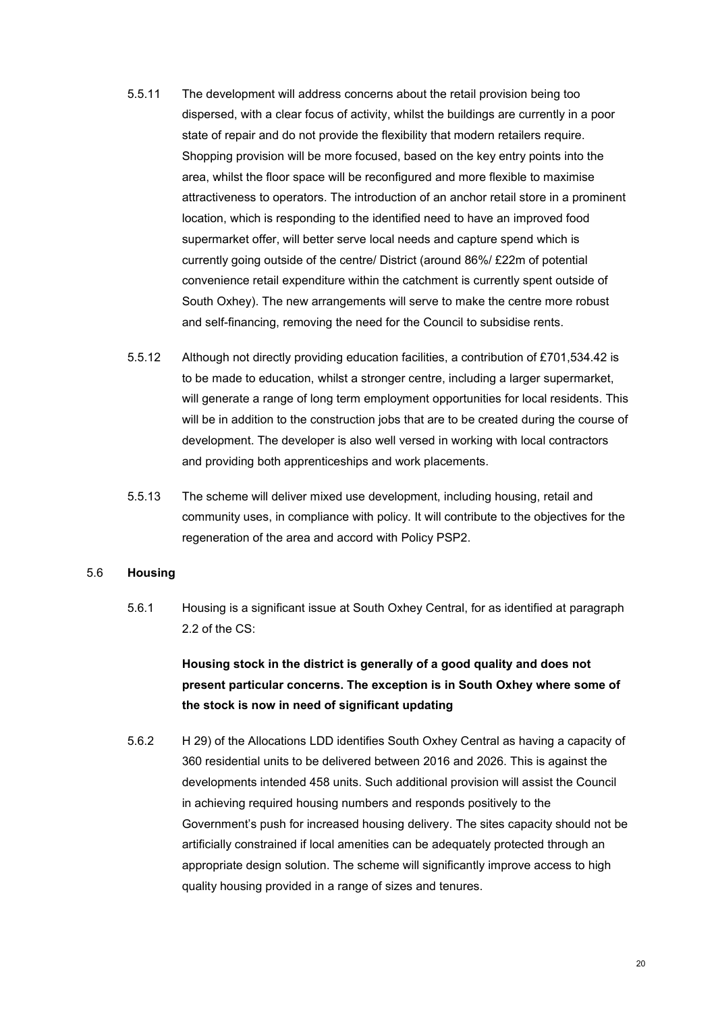- 5.5.11 The development will address concerns about the retail provision being too dispersed, with a clear focus of activity, whilst the buildings are currently in a poor state of repair and do not provide the flexibility that modern retailers require. Shopping provision will be more focused, based on the key entry points into the area, whilst the floor space will be reconfigured and more flexible to maximise attractiveness to operators. The introduction of an anchor retail store in a prominent location, which is responding to the identified need to have an improved food supermarket offer, will better serve local needs and capture spend which is currently going outside of the centre/ District (around 86%/ £22m of potential convenience retail expenditure within the catchment is currently spent outside of South Oxhey). The new arrangements will serve to make the centre more robust and self-financing, removing the need for the Council to subsidise rents.
- 5.5.12 Although not directly providing education facilities, a contribution of £701,534.42 is to be made to education, whilst a stronger centre, including a larger supermarket, will generate a range of long term employment opportunities for local residents. This will be in addition to the construction jobs that are to be created during the course of development. The developer is also well versed in working with local contractors and providing both apprenticeships and work placements.
- 5.5.13 The scheme will deliver mixed use development, including housing, retail and community uses, in compliance with policy. It will contribute to the objectives for the regeneration of the area and accord with Policy PSP2.

### 5.6 **Housing**

<span id="page-19-0"></span>5.6.1 Housing is a significant issue at South Oxhey Central, for as identified at paragraph 2.2 of the CS:

> **Housing stock in the district is generally of a good quality and does not present particular concerns. The exception is in South Oxhey where some of the stock is now in need of significant updating**

5.6.2 H 29) of the Allocations LDD identifies South Oxhey Central as having a capacity of 360 residential units to be delivered between 2016 and 2026. This is against the developments intended 458 units. Such additional provision will assist the Council in achieving required housing numbers and responds positively to the Government's push for increased housing delivery. The sites capacity should not be artificially constrained if local amenities can be adequately protected through an appropriate design solution. The scheme will significantly improve access to high quality housing provided in a range of sizes and tenures.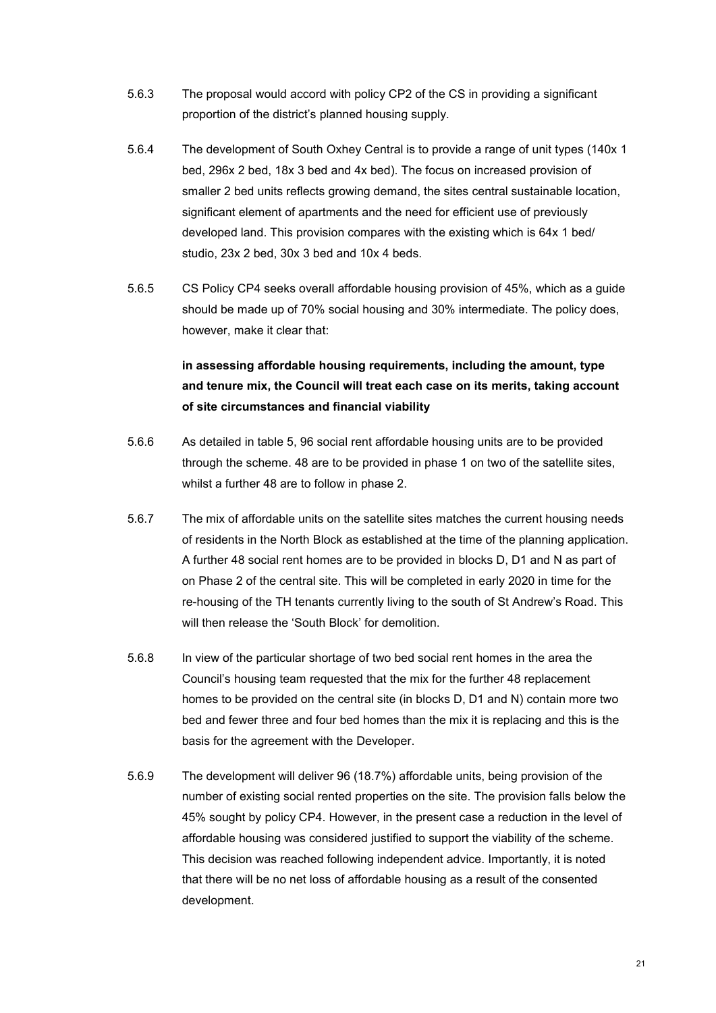- 5.6.3 The proposal would accord with policy CP2 of the CS in providing a significant proportion of the district's planned housing supply.
- 5.6.4 The development of South Oxhey Central is to provide a range of unit types (140x 1 bed, 296x 2 bed, 18x 3 bed and 4x bed). The focus on increased provision of smaller 2 bed units reflects growing demand, the sites central sustainable location, significant element of apartments and the need for efficient use of previously developed land. This provision compares with the existing which is 64x 1 bed/ studio, 23x 2 bed, 30x 3 bed and 10x 4 beds.
- 5.6.5 CS Policy CP4 seeks overall affordable housing provision of 45%, which as a guide should be made up of 70% social housing and 30% intermediate. The policy does, however, make it clear that:

# **in assessing affordable housing requirements, including the amount, type and tenure mix, the Council will treat each case on its merits, taking account of site circumstances and financial viability**

- 5.6.6 As detailed in table 5, 96 social rent affordable housing units are to be provided through the scheme. 48 are to be provided in phase 1 on two of the satellite sites, whilst a further 48 are to follow in phase 2.
- 5.6.7 The mix of affordable units on the satellite sites matches the current housing needs of residents in the North Block as established at the time of the planning application. A further 48 social rent homes are to be provided in blocks D, D1 and N as part of on Phase 2 of the central site. This will be completed in early 2020 in time for the re-housing of the TH tenants currently living to the south of St Andrew's Road. This will then release the 'South Block' for demolition
- 5.6.8 In view of the particular shortage of two bed social rent homes in the area the Council's housing team requested that the mix for the further 48 replacement homes to be provided on the central site (in blocks D, D1 and N) contain more two bed and fewer three and four bed homes than the mix it is replacing and this is the basis for the agreement with the Developer.
- 5.6.9 The development will deliver 96 (18.7%) affordable units, being provision of the number of existing social rented properties on the site. The provision falls below the 45% sought by policy CP4. However, in the present case a reduction in the level of affordable housing was considered justified to support the viability of the scheme. This decision was reached following independent advice. Importantly, it is noted that there will be no net loss of affordable housing as a result of the consented development.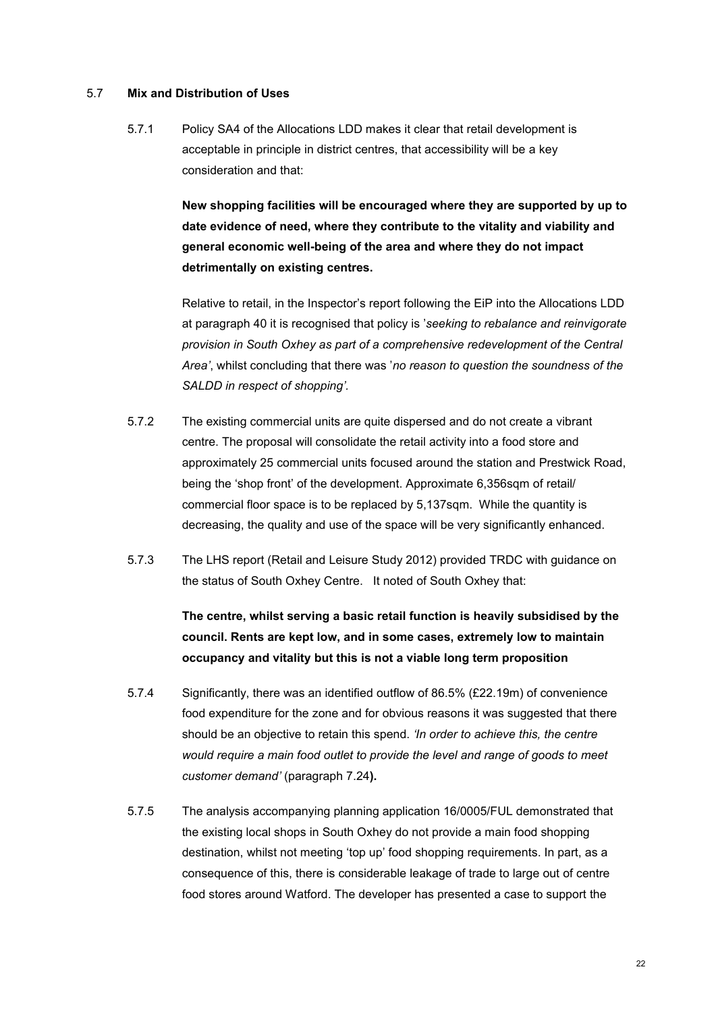### 5.7 **Mix and Distribution of Uses**

<span id="page-21-0"></span>5.7.1 Policy SA4 of the Allocations LDD makes it clear that retail development is acceptable in principle in district centres, that accessibility will be a key consideration and that:

> **New shopping facilities will be encouraged where they are supported by up to date evidence of need, where they contribute to the vitality and viability and general economic well-being of the area and where they do not impact detrimentally on existing centres.**

> Relative to retail, in the Inspector's report following the EiP into the Allocations LDD at paragraph 40 it is recognised that policy is '*seeking to rebalance and reinvigorate provision in South Oxhey as part of a comprehensive redevelopment of the Central Area'*, whilst concluding that there was '*no reason to question the soundness of the SALDD in respect of shopping'.*

- 5.7.2 The existing commercial units are quite dispersed and do not create a vibrant centre. The proposal will consolidate the retail activity into a food store and approximately 25 commercial units focused around the station and Prestwick Road, being the 'shop front' of the development. Approximate 6,356sqm of retail/ commercial floor space is to be replaced by 5,137sqm. While the quantity is decreasing, the quality and use of the space will be very significantly enhanced.
- 5.7.3 The LHS report (Retail and Leisure Study 2012) provided TRDC with guidance on the status of South Oxhey Centre. It noted of South Oxhey that:

**The centre, whilst serving a basic retail function is heavily subsidised by the council. Rents are kept low, and in some cases, extremely low to maintain occupancy and vitality but this is not a viable long term proposition**

- 5.7.4 Significantly, there was an identified outflow of 86.5% (£22.19m) of convenience food expenditure for the zone and for obvious reasons it was suggested that there should be an objective to retain this spend. *'In order to achieve this, the centre would require a main food outlet to provide the level and range of goods to meet customer demand'* (paragraph 7.24**).**
- 5.7.5 The analysis accompanying planning application 16/0005/FUL demonstrated that the existing local shops in South Oxhey do not provide a main food shopping destination, whilst not meeting 'top up' food shopping requirements. In part, as a consequence of this, there is considerable leakage of trade to large out of centre food stores around Watford. The developer has presented a case to support the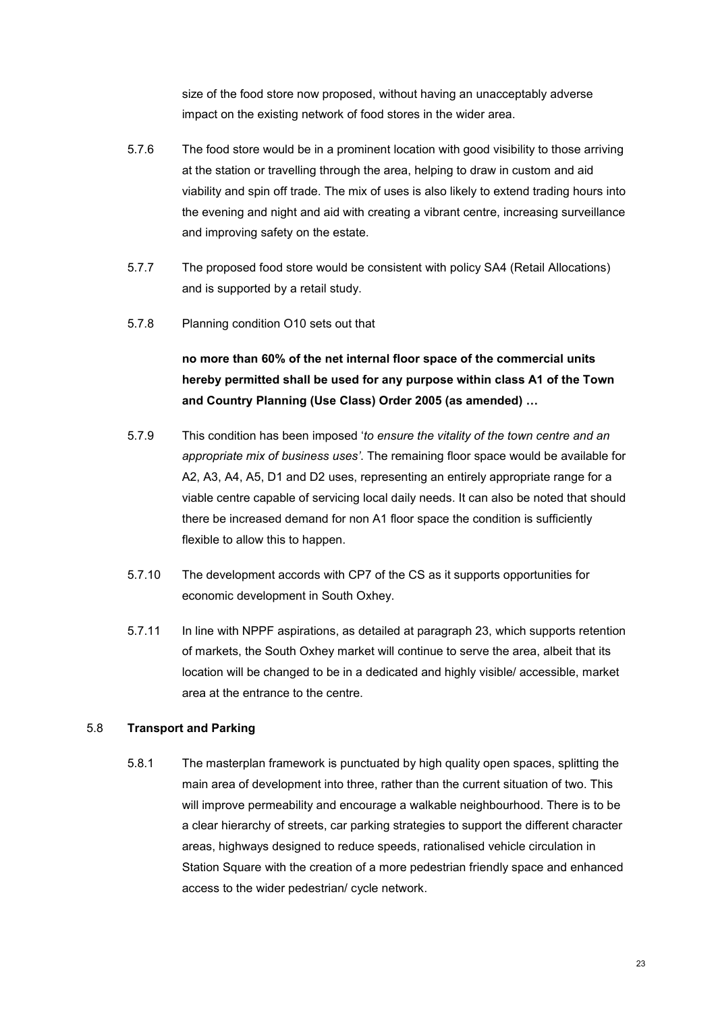size of the food store now proposed, without having an unacceptably adverse impact on the existing network of food stores in the wider area.

- 5.7.6 The food store would be in a prominent location with good visibility to those arriving at the station or travelling through the area, helping to draw in custom and aid viability and spin off trade. The mix of uses is also likely to extend trading hours into the evening and night and aid with creating a vibrant centre, increasing surveillance and improving safety on the estate.
- 5.7.7 The proposed food store would be consistent with policy SA4 (Retail Allocations) and is supported by a retail study.
- 5.7.8 Planning condition O10 sets out that

**no more than 60% of the net internal floor space of the commercial units hereby permitted shall be used for any purpose within class A1 of the Town and Country Planning (Use Class) Order 2005 (as amended) …**

- 5.7.9 This condition has been imposed '*to ensure the vitality of the town centre and an appropriate mix of business uses'*. The remaining floor space would be available for A2, A3, A4, A5, D1 and D2 uses, representing an entirely appropriate range for a viable centre capable of servicing local daily needs. It can also be noted that should there be increased demand for non A1 floor space the condition is sufficiently flexible to allow this to happen.
- 5.7.10 The development accords with CP7 of the CS as it supports opportunities for economic development in South Oxhey.
- 5.7.11 In line with NPPF aspirations, as detailed at paragraph 23, which supports retention of markets, the South Oxhey market will continue to serve the area, albeit that its location will be changed to be in a dedicated and highly visible/ accessible, market area at the entrance to the centre.

### 5.8 **Transport and Parking**

<span id="page-22-0"></span>5.8.1 The masterplan framework is punctuated by high quality open spaces, splitting the main area of development into three, rather than the current situation of two. This will improve permeability and encourage a walkable neighbourhood. There is to be a clear hierarchy of streets, car parking strategies to support the different character areas, highways designed to reduce speeds, rationalised vehicle circulation in Station Square with the creation of a more pedestrian friendly space and enhanced access to the wider pedestrian/ cycle network.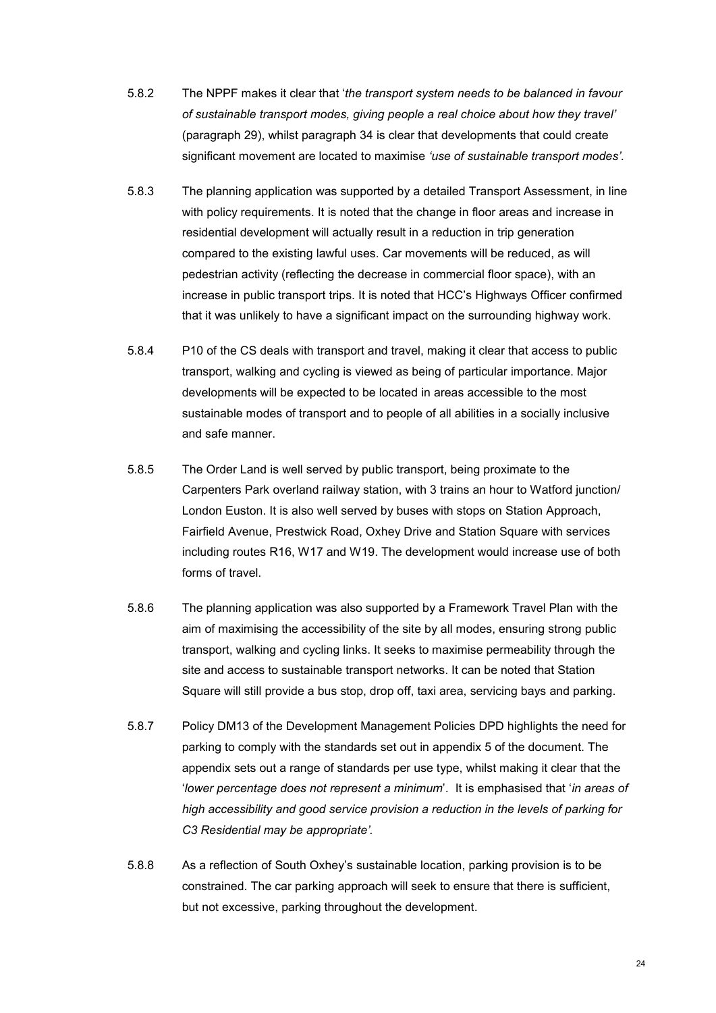- 5.8.2 The NPPF makes it clear that '*the transport system needs to be balanced in favour of sustainable transport modes, giving people a real choice about how they travel'* (paragraph 29), whilst paragraph 34 is clear that developments that could create significant movement are located to maximise *'use of sustainable transport modes'*.
- 5.8.3 The planning application was supported by a detailed Transport Assessment, in line with policy requirements. It is noted that the change in floor areas and increase in residential development will actually result in a reduction in trip generation compared to the existing lawful uses. Car movements will be reduced, as will pedestrian activity (reflecting the decrease in commercial floor space), with an increase in public transport trips. It is noted that HCC's Highways Officer confirmed that it was unlikely to have a significant impact on the surrounding highway work.
- 5.8.4 P10 of the CS deals with transport and travel, making it clear that access to public transport, walking and cycling is viewed as being of particular importance. Major developments will be expected to be located in areas accessible to the most sustainable modes of transport and to people of all abilities in a socially inclusive and safe manner.
- 5.8.5 The Order Land is well served by public transport, being proximate to the Carpenters Park overland railway station, with 3 trains an hour to Watford junction/ London Euston. It is also well served by buses with stops on Station Approach, Fairfield Avenue, Prestwick Road, Oxhey Drive and Station Square with services including routes R16, W17 and W19. The development would increase use of both forms of travel.
- 5.8.6 The planning application was also supported by a Framework Travel Plan with the aim of maximising the accessibility of the site by all modes, ensuring strong public transport, walking and cycling links. It seeks to maximise permeability through the site and access to sustainable transport networks. It can be noted that Station Square will still provide a bus stop, drop off, taxi area, servicing bays and parking.
- 5.8.7 Policy DM13 of the Development Management Policies DPD highlights the need for parking to comply with the standards set out in appendix 5 of the document. The appendix sets out a range of standards per use type, whilst making it clear that the '*lower percentage does not represent a minimum*'. It is emphasised that '*in areas of high accessibility and good service provision a reduction in the levels of parking for C3 Residential may be appropriate'.*
- 5.8.8 As a reflection of South Oxhey's sustainable location, parking provision is to be constrained. The car parking approach will seek to ensure that there is sufficient, but not excessive, parking throughout the development.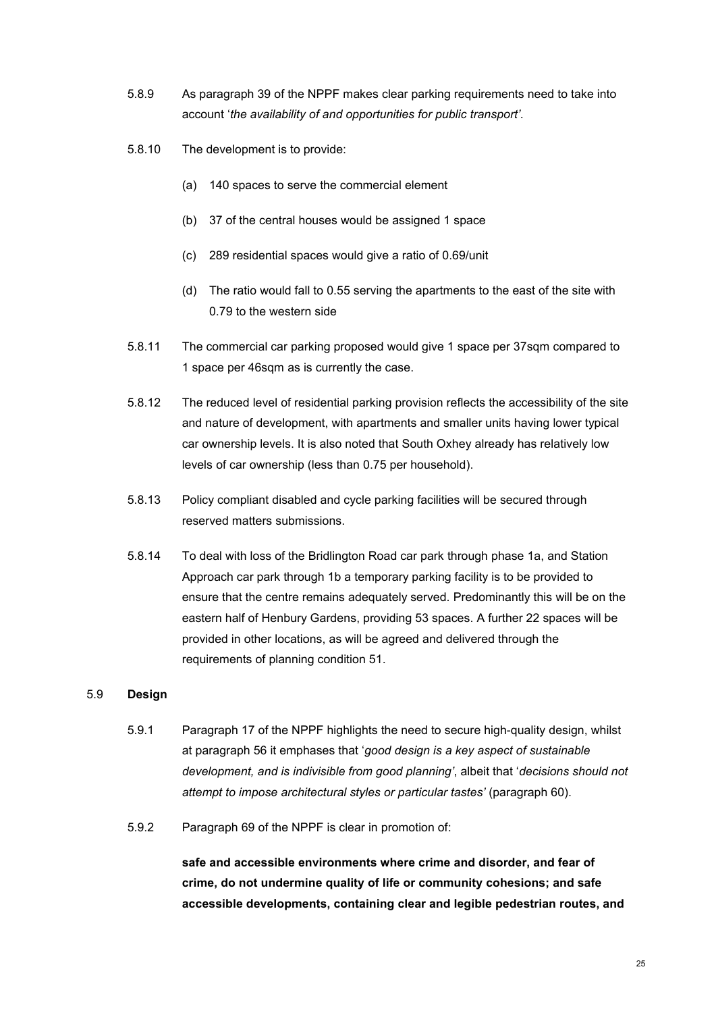- 5.8.9 As paragraph 39 of the NPPF makes clear parking requirements need to take into account '*the availability of and opportunities for public transport'*.
- 5.8.10 The development is to provide:
	- (a) 140 spaces to serve the commercial element
	- (b) 37 of the central houses would be assigned 1 space
	- (c) 289 residential spaces would give a ratio of 0.69/unit
	- (d) The ratio would fall to 0.55 serving the apartments to the east of the site with 0.79 to the western side
- 5.8.11 The commercial car parking proposed would give 1 space per 37sqm compared to 1 space per 46sqm as is currently the case.
- 5.8.12 The reduced level of residential parking provision reflects the accessibility of the site and nature of development, with apartments and smaller units having lower typical car ownership levels. It is also noted that South Oxhey already has relatively low levels of car ownership (less than 0.75 per household).
- 5.8.13 Policy compliant disabled and cycle parking facilities will be secured through reserved matters submissions.
- 5.8.14 To deal with loss of the Bridlington Road car park through phase 1a, and Station Approach car park through 1b a temporary parking facility is to be provided to ensure that the centre remains adequately served. Predominantly this will be on the eastern half of Henbury Gardens, providing 53 spaces. A further 22 spaces will be provided in other locations, as will be agreed and delivered through the requirements of planning condition 51.

# 5.9 **Design**

- <span id="page-24-0"></span>5.9.1 Paragraph 17 of the NPPF highlights the need to secure high-quality design, whilst at paragraph 56 it emphases that '*good design is a key aspect of sustainable development, and is indivisible from good planning'*, albeit that '*decisions should not attempt to impose architectural styles or particular tastes'* (paragraph 60).
- 5.9.2 Paragraph 69 of the NPPF is clear in promotion of:

**safe and accessible environments where crime and disorder, and fear of crime, do not undermine quality of life or community cohesions; and safe accessible developments, containing clear and legible pedestrian routes, and**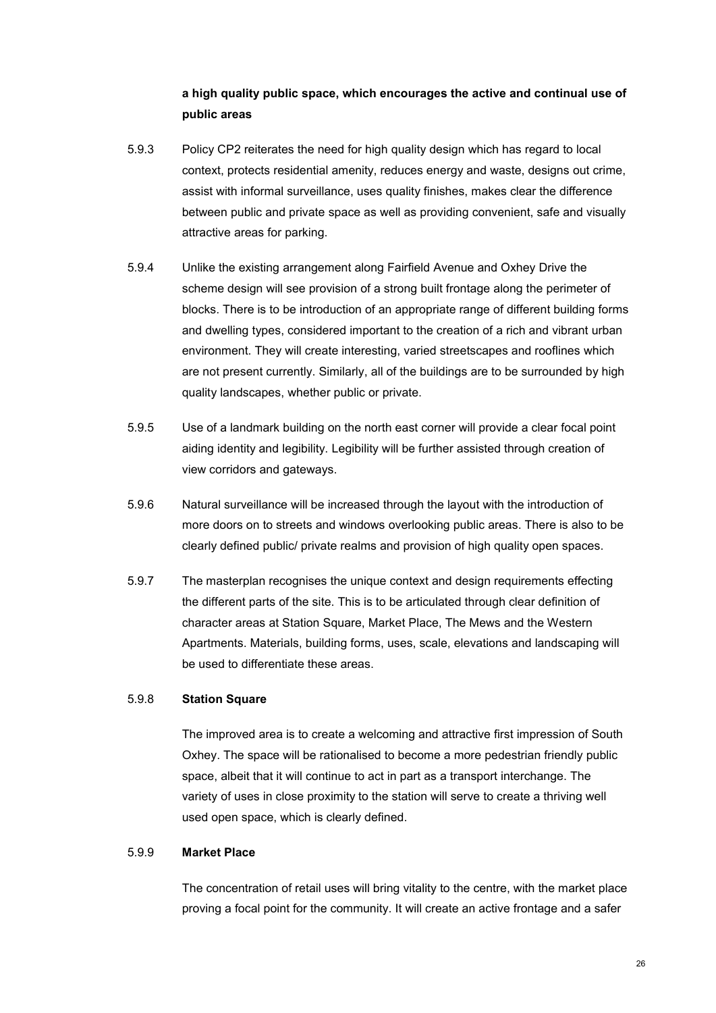# **a high quality public space, which encourages the active and continual use of public areas**

- 5.9.3 Policy CP2 reiterates the need for high quality design which has regard to local context, protects residential amenity, reduces energy and waste, designs out crime, assist with informal surveillance, uses quality finishes, makes clear the difference between public and private space as well as providing convenient, safe and visually attractive areas for parking.
- 5.9.4 Unlike the existing arrangement along Fairfield Avenue and Oxhey Drive the scheme design will see provision of a strong built frontage along the perimeter of blocks. There is to be introduction of an appropriate range of different building forms and dwelling types, considered important to the creation of a rich and vibrant urban environment. They will create interesting, varied streetscapes and rooflines which are not present currently. Similarly, all of the buildings are to be surrounded by high quality landscapes, whether public or private.
- 5.9.5 Use of a landmark building on the north east corner will provide a clear focal point aiding identity and legibility. Legibility will be further assisted through creation of view corridors and gateways.
- 5.9.6 Natural surveillance will be increased through the layout with the introduction of more doors on to streets and windows overlooking public areas. There is also to be clearly defined public/ private realms and provision of high quality open spaces.
- 5.9.7 The masterplan recognises the unique context and design requirements effecting the different parts of the site. This is to be articulated through clear definition of character areas at Station Square, Market Place, The Mews and the Western Apartments. Materials, building forms, uses, scale, elevations and landscaping will be used to differentiate these areas.

### 5.9.8 **Station Square**

<span id="page-25-0"></span>The improved area is to create a welcoming and attractive first impression of South Oxhey. The space will be rationalised to become a more pedestrian friendly public space, albeit that it will continue to act in part as a transport interchange. The variety of uses in close proximity to the station will serve to create a thriving well used open space, which is clearly defined.

### 5.9.9 **Market Place**

<span id="page-25-1"></span>The concentration of retail uses will bring vitality to the centre, with the market place proving a focal point for the community. It will create an active frontage and a safer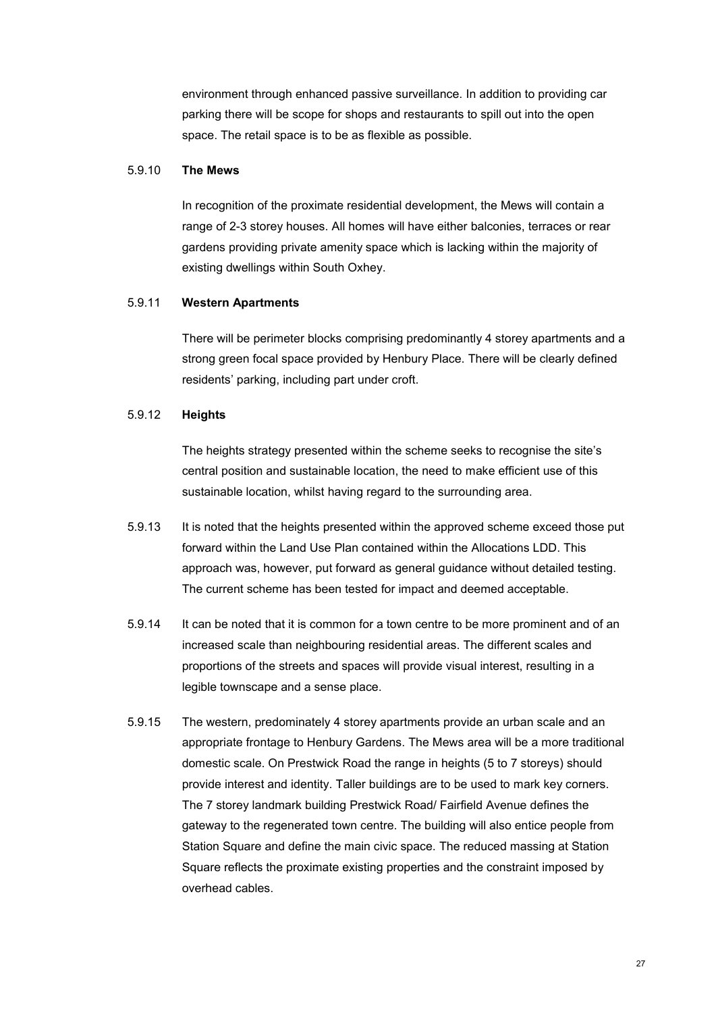environment through enhanced passive surveillance. In addition to providing car parking there will be scope for shops and restaurants to spill out into the open space. The retail space is to be as flexible as possible.

#### 5.9.10 **The Mews**

<span id="page-26-0"></span>In recognition of the proximate residential development, the Mews will contain a range of 2-3 storey houses. All homes will have either balconies, terraces or rear gardens providing private amenity space which is lacking within the majority of existing dwellings within South Oxhey.

#### 5.9.11 **Western Apartments**

<span id="page-26-1"></span>There will be perimeter blocks comprising predominantly 4 storey apartments and a strong green focal space provided by Henbury Place. There will be clearly defined residents' parking, including part under croft.

## 5.9.12 **Heights**

<span id="page-26-2"></span>The heights strategy presented within the scheme seeks to recognise the site's central position and sustainable location, the need to make efficient use of this sustainable location, whilst having regard to the surrounding area.

- 5.9.13 It is noted that the heights presented within the approved scheme exceed those put forward within the Land Use Plan contained within the Allocations LDD. This approach was, however, put forward as general guidance without detailed testing. The current scheme has been tested for impact and deemed acceptable.
- 5.9.14 It can be noted that it is common for a town centre to be more prominent and of an increased scale than neighbouring residential areas. The different scales and proportions of the streets and spaces will provide visual interest, resulting in a legible townscape and a sense place.
- 5.9.15 The western, predominately 4 storey apartments provide an urban scale and an appropriate frontage to Henbury Gardens. The Mews area will be a more traditional domestic scale. On Prestwick Road the range in heights (5 to 7 storeys) should provide interest and identity. Taller buildings are to be used to mark key corners. The 7 storey landmark building Prestwick Road/ Fairfield Avenue defines the gateway to the regenerated town centre. The building will also entice people from Station Square and define the main civic space. The reduced massing at Station Square reflects the proximate existing properties and the constraint imposed by overhead cables.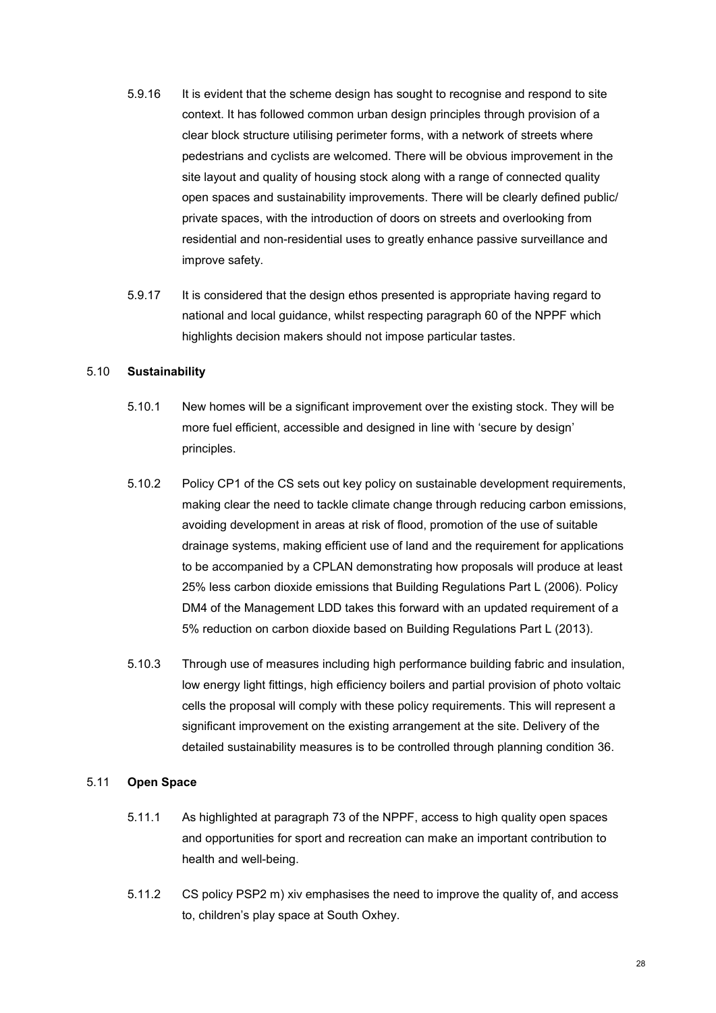- 5.9.16 It is evident that the scheme design has sought to recognise and respond to site context. It has followed common urban design principles through provision of a clear block structure utilising perimeter forms, with a network of streets where pedestrians and cyclists are welcomed. There will be obvious improvement in the site layout and quality of housing stock along with a range of connected quality open spaces and sustainability improvements. There will be clearly defined public/ private spaces, with the introduction of doors on streets and overlooking from residential and non-residential uses to greatly enhance passive surveillance and improve safety.
- 5.9.17 It is considered that the design ethos presented is appropriate having regard to national and local guidance, whilst respecting paragraph 60 of the NPPF which highlights decision makers should not impose particular tastes.

### 5.10 **Sustainability**

- <span id="page-27-0"></span>5.10.1 New homes will be a significant improvement over the existing stock. They will be more fuel efficient, accessible and designed in line with 'secure by design' principles.
- 5.10.2 Policy CP1 of the CS sets out key policy on sustainable development requirements, making clear the need to tackle climate change through reducing carbon emissions, avoiding development in areas at risk of flood, promotion of the use of suitable drainage systems, making efficient use of land and the requirement for applications to be accompanied by a CPLAN demonstrating how proposals will produce at least 25% less carbon dioxide emissions that Building Regulations Part L (2006). Policy DM4 of the Management LDD takes this forward with an updated requirement of a 5% reduction on carbon dioxide based on Building Regulations Part L (2013).
- 5.10.3 Through use of measures including high performance building fabric and insulation, low energy light fittings, high efficiency boilers and partial provision of photo voltaic cells the proposal will comply with these policy requirements. This will represent a significant improvement on the existing arrangement at the site. Delivery of the detailed sustainability measures is to be controlled through planning condition 36.

### 5.11 **Open Space**

- <span id="page-27-1"></span>5.11.1 As highlighted at paragraph 73 of the NPPF, access to high quality open spaces and opportunities for sport and recreation can make an important contribution to health and well-being.
- 5.11.2 CS policy PSP2 m) xiv emphasises the need to improve the quality of, and access to, children's play space at South Oxhey.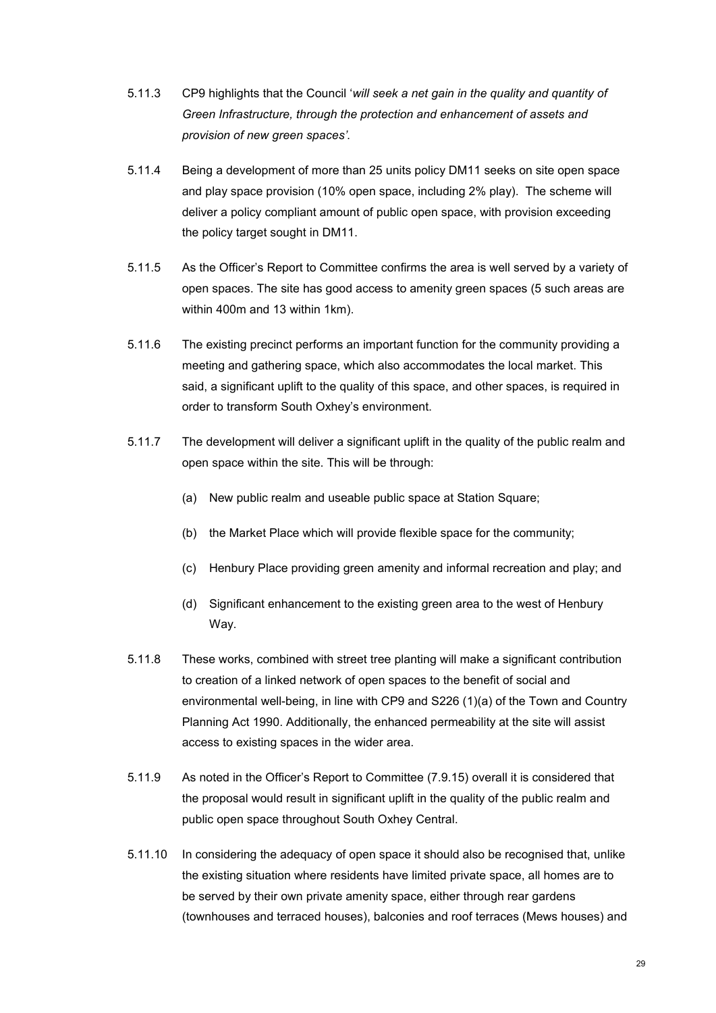- 5.11.3 CP9 highlights that the Council '*will seek a net gain in the quality and quantity of Green Infrastructure, through the protection and enhancement of assets and provision of new green spaces'*.
- 5.11.4 Being a development of more than 25 units policy DM11 seeks on site open space and play space provision (10% open space, including 2% play). The scheme will deliver a policy compliant amount of public open space, with provision exceeding the policy target sought in DM11.
- 5.11.5 As the Officer's Report to Committee confirms the area is well served by a variety of open spaces. The site has good access to amenity green spaces (5 such areas are within 400m and 13 within 1km).
- 5.11.6 The existing precinct performs an important function for the community providing a meeting and gathering space, which also accommodates the local market. This said, a significant uplift to the quality of this space, and other spaces, is required in order to transform South Oxhey's environment.
- 5.11.7 The development will deliver a significant uplift in the quality of the public realm and open space within the site. This will be through:
	- (a) New public realm and useable public space at Station Square;
	- (b) the Market Place which will provide flexible space for the community;
	- (c) Henbury Place providing green amenity and informal recreation and play; and
	- (d) Significant enhancement to the existing green area to the west of Henbury Way.
- 5.11.8 These works, combined with street tree planting will make a significant contribution to creation of a linked network of open spaces to the benefit of social and environmental well-being, in line with CP9 and S226 (1)(a) of the Town and Country Planning Act 1990. Additionally, the enhanced permeability at the site will assist access to existing spaces in the wider area.
- 5.11.9 As noted in the Officer's Report to Committee (7.9.15) overall it is considered that the proposal would result in significant uplift in the quality of the public realm and public open space throughout South Oxhey Central.
- 5.11.10 In considering the adequacy of open space it should also be recognised that, unlike the existing situation where residents have limited private space, all homes are to be served by their own private amenity space, either through rear gardens (townhouses and terraced houses), balconies and roof terraces (Mews houses) and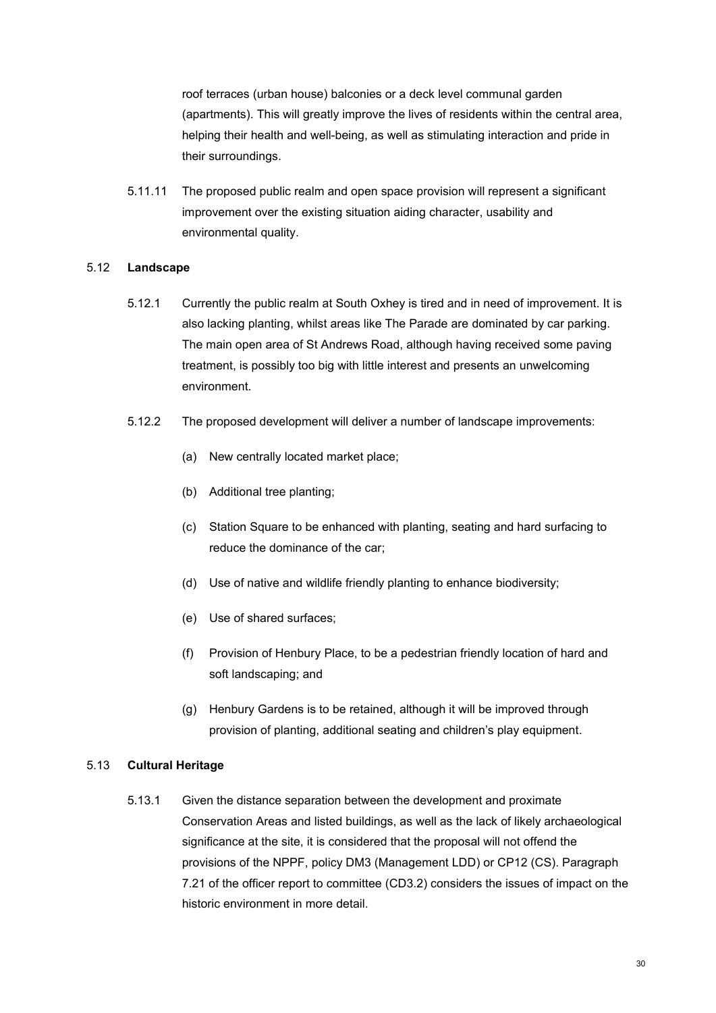roof terraces (urban house) balconies or a deck level communal garden (apartments). This will greatly improve the lives of residents within the central area, helping their health and well-being, as well as stimulating interaction and pride in their surroundings.

5.11.11 The proposed public realm and open space provision will represent a significant improvement over the existing situation aiding character, usability and environmental quality.

## 5.12 **Landscape**

- <span id="page-29-0"></span>5.12.1 Currently the public realm at South Oxhey is tired and in need of improvement. It is also lacking planting, whilst areas like The Parade are dominated by car parking. The main open area of St Andrews Road, although having received some paving treatment, is possibly too big with little interest and presents an unwelcoming environment.
- 5.12.2 The proposed development will deliver a number of landscape improvements:
	- (a) New centrally located market place;
	- (b) Additional tree planting;
	- (c) Station Square to be enhanced with planting, seating and hard surfacing to reduce the dominance of the car;
	- (d) Use of native and wildlife friendly planting to enhance biodiversity;
	- (e) Use of shared surfaces;
	- (f) Provision of Henbury Place, to be a pedestrian friendly location of hard and soft landscaping; and
	- (g) Henbury Gardens is to be retained, although it will be improved through provision of planting, additional seating and children's play equipment.

### 5.13 **Cultural Heritage**

<span id="page-29-1"></span>5.13.1 Given the distance separation between the development and proximate Conservation Areas and listed buildings, as well as the lack of likely archaeological significance at the site, it is considered that the proposal will not offend the provisions of the NPPF, policy DM3 (Management LDD) or CP12 (CS). Paragraph 7.21 of the officer report to committee (CD3.2) considers the issues of impact on the historic environment in more detail.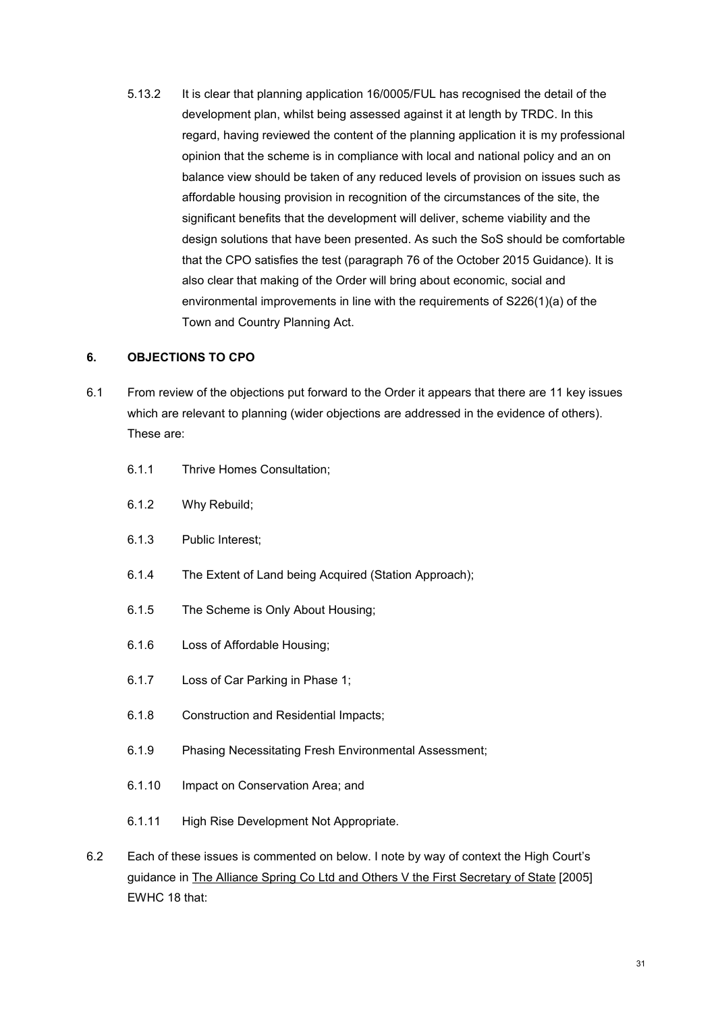5.13.2 It is clear that planning application 16/0005/FUL has recognised the detail of the development plan, whilst being assessed against it at length by TRDC. In this regard, having reviewed the content of the planning application it is my professional opinion that the scheme is in compliance with local and national policy and an on balance view should be taken of any reduced levels of provision on issues such as affordable housing provision in recognition of the circumstances of the site, the significant benefits that the development will deliver, scheme viability and the design solutions that have been presented. As such the SoS should be comfortable that the CPO satisfies the test (paragraph 76 of the October 2015 Guidance). It is also clear that making of the Order will bring about economic, social and environmental improvements in line with the requirements of S226(1)(a) of the Town and Country Planning Act.

## <span id="page-30-0"></span>**6. OBJECTIONS TO CPO**

- 6.1 From review of the objections put forward to the Order it appears that there are 11 key issues which are relevant to planning (wider objections are addressed in the evidence of others). These are:
	- 6.1.1 Thrive Homes Consultation;
	- 6.1.2 Why Rebuild;
	- 6.1.3 Public Interest;
	- 6.1.4 The Extent of Land being Acquired (Station Approach);
	- 6.1.5 The Scheme is Only About Housing;
	- 6.1.6 Loss of Affordable Housing;
	- 6.1.7 Loss of Car Parking in Phase 1;
	- 6.1.8 Construction and Residential Impacts;
	- 6.1.9 Phasing Necessitating Fresh Environmental Assessment;
	- 6.1.10 Impact on Conservation Area; and
	- 6.1.11 High Rise Development Not Appropriate.
- 6.2 Each of these issues is commented on below. I note by way of context the High Court's guidance in The Alliance Spring Co Ltd and Others V the First Secretary of State [2005] EWHC 18 that: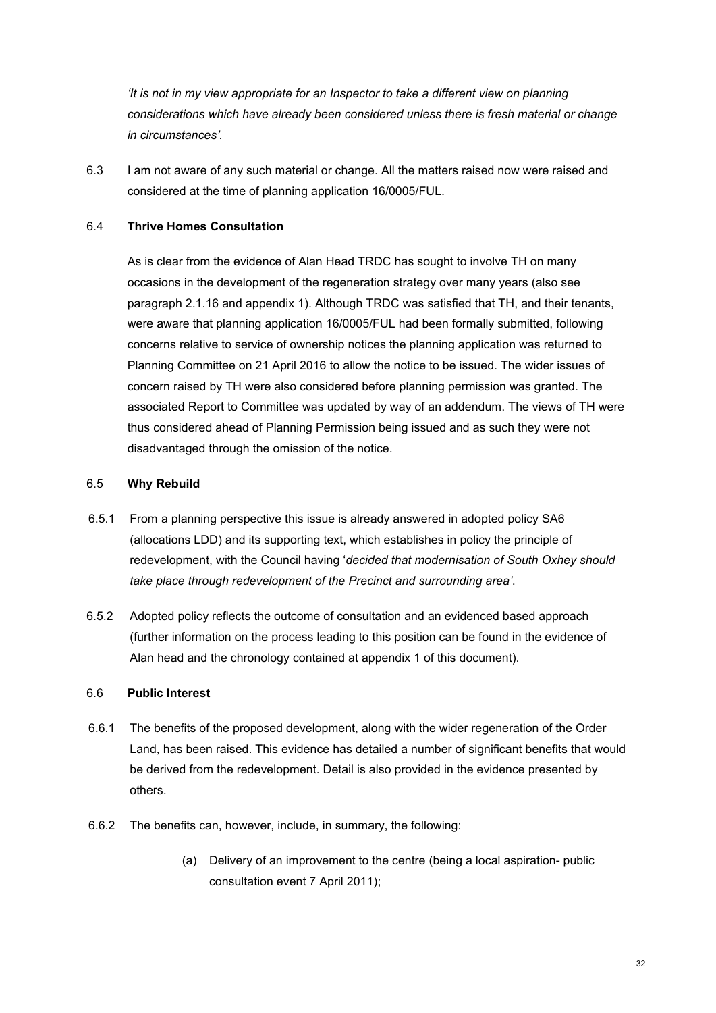*'It is not in my view appropriate for an Inspector to take a different view on planning considerations which have already been considered unless there is fresh material or change in circumstances'.*

6.3 I am not aware of any such material or change. All the matters raised now were raised and considered at the time of planning application 16/0005/FUL.

## 6.4 **Thrive Homes Consultation**

<span id="page-31-0"></span>As is clear from the evidence of Alan Head TRDC has sought to involve TH on many occasions in the development of the regeneration strategy over many years (also see paragraph 2.1.16 and appendix 1). Although TRDC was satisfied that TH, and their tenants, were aware that planning application 16/0005/FUL had been formally submitted, following concerns relative to service of ownership notices the planning application was returned to Planning Committee on 21 April 2016 to allow the notice to be issued. The wider issues of concern raised by TH were also considered before planning permission was granted. The associated Report to Committee was updated by way of an addendum. The views of TH were thus considered ahead of Planning Permission being issued and as such they were not disadvantaged through the omission of the notice.

### <span id="page-31-1"></span>6.5 **Why Rebuild**

- 6.5.1 From a planning perspective this issue is already answered in adopted policy SA6 (allocations LDD) and its supporting text, which establishes in policy the principle of redevelopment, with the Council having '*decided that modernisation of South Oxhey should take place through redevelopment of the Precinct and surrounding area'*.
- 6.5.2 Adopted policy reflects the outcome of consultation and an evidenced based approach (further information on the process leading to this position can be found in the evidence of Alan head and the chronology contained at appendix 1 of this document).

### <span id="page-31-2"></span>6.6 **Public Interest**

- 6.6.1 The benefits of the proposed development, along with the wider regeneration of the Order Land, has been raised. This evidence has detailed a number of significant benefits that would be derived from the redevelopment. Detail is also provided in the evidence presented by others.
- 6.6.2 The benefits can, however, include, in summary, the following:
	- (a) Delivery of an improvement to the centre (being a local aspiration- public consultation event 7 April 2011);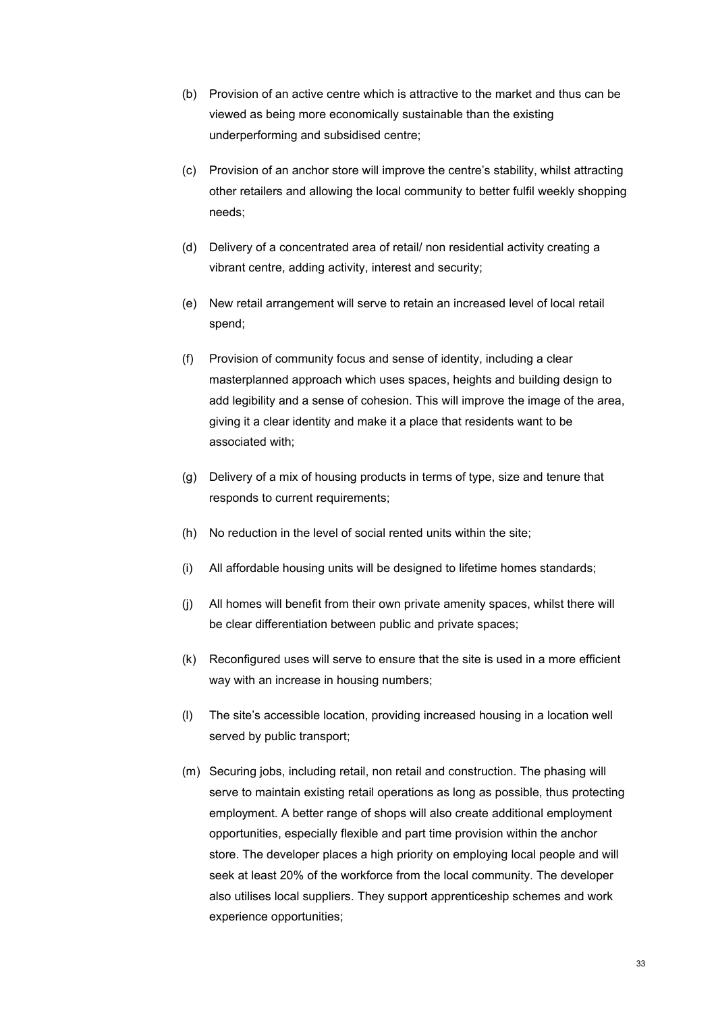- (b) Provision of an active centre which is attractive to the market and thus can be viewed as being more economically sustainable than the existing underperforming and subsidised centre;
- (c) Provision of an anchor store will improve the centre's stability, whilst attracting other retailers and allowing the local community to better fulfil weekly shopping needs;
- (d) Delivery of a concentrated area of retail/ non residential activity creating a vibrant centre, adding activity, interest and security;
- (e) New retail arrangement will serve to retain an increased level of local retail spend;
- (f) Provision of community focus and sense of identity, including a clear masterplanned approach which uses spaces, heights and building design to add legibility and a sense of cohesion. This will improve the image of the area, giving it a clear identity and make it a place that residents want to be associated with;
- (g) Delivery of a mix of housing products in terms of type, size and tenure that responds to current requirements;
- (h) No reduction in the level of social rented units within the site;
- (i) All affordable housing units will be designed to lifetime homes standards;
- (j) All homes will benefit from their own private amenity spaces, whilst there will be clear differentiation between public and private spaces;
- (k) Reconfigured uses will serve to ensure that the site is used in a more efficient way with an increase in housing numbers;
- (l) The site's accessible location, providing increased housing in a location well served by public transport;
- (m) Securing jobs, including retail, non retail and construction. The phasing will serve to maintain existing retail operations as long as possible, thus protecting employment. A better range of shops will also create additional employment opportunities, especially flexible and part time provision within the anchor store. The developer places a high priority on employing local people and will seek at least 20% of the workforce from the local community. The developer also utilises local suppliers. They support apprenticeship schemes and work experience opportunities;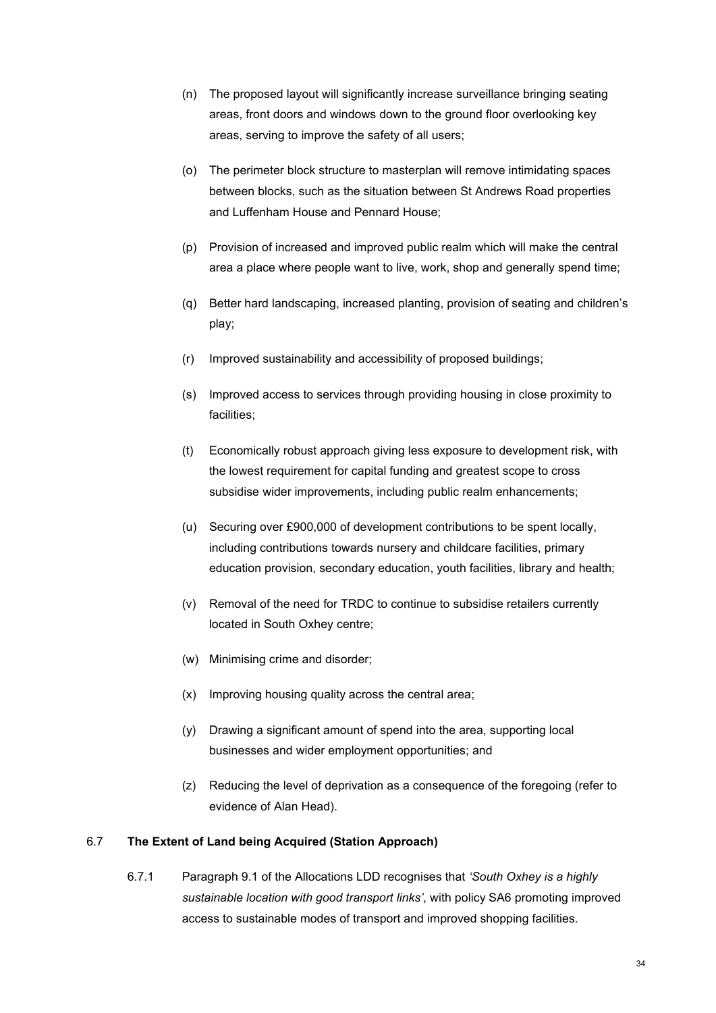- (n) The proposed layout will significantly increase surveillance bringing seating areas, front doors and windows down to the ground floor overlooking key areas, serving to improve the safety of all users;
- (o) The perimeter block structure to masterplan will remove intimidating spaces between blocks, such as the situation between St Andrews Road properties and Luffenham House and Pennard House;
- (p) Provision of increased and improved public realm which will make the central area a place where people want to live, work, shop and generally spend time;
- (q) Better hard landscaping, increased planting, provision of seating and children's play;
- (r) Improved sustainability and accessibility of proposed buildings;
- (s) Improved access to services through providing housing in close proximity to facilities;
- (t) Economically robust approach giving less exposure to development risk, with the lowest requirement for capital funding and greatest scope to cross subsidise wider improvements, including public realm enhancements;
- (u) Securing over £900,000 of development contributions to be spent locally, including contributions towards nursery and childcare facilities, primary education provision, secondary education, youth facilities, library and health;
- (v) Removal of the need for TRDC to continue to subsidise retailers currently located in South Oxhey centre;
- (w) Minimising crime and disorder;
- (x) Improving housing quality across the central area;
- (y) Drawing a significant amount of spend into the area, supporting local businesses and wider employment opportunities; and
- (z) Reducing the level of deprivation as a consequence of the foregoing (refer to evidence of Alan Head).

### 6.7 **The Extent of Land being Acquired (Station Approach)**

<span id="page-33-0"></span>6.7.1 Paragraph 9.1 of the Allocations LDD recognises that *'South Oxhey is a highly sustainable location with good transport links'*, with policy SA6 promoting improved access to sustainable modes of transport and improved shopping facilities.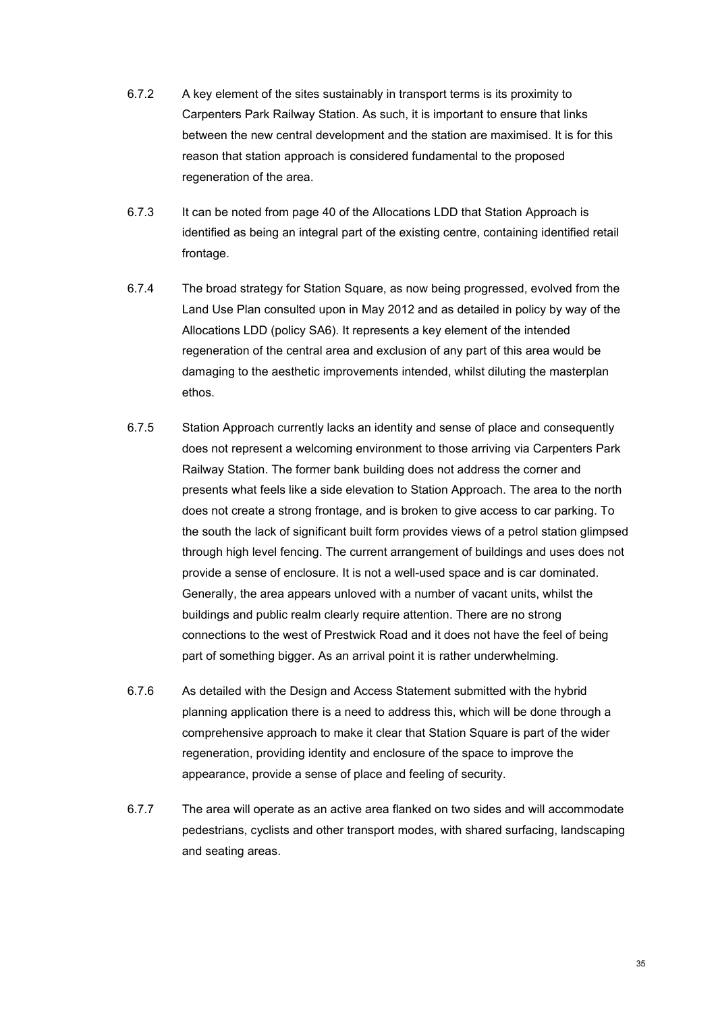- 6.7.2 A key element of the sites sustainably in transport terms is its proximity to Carpenters Park Railway Station. As such, it is important to ensure that links between the new central development and the station are maximised. It is for this reason that station approach is considered fundamental to the proposed regeneration of the area.
- 6.7.3 It can be noted from page 40 of the Allocations LDD that Station Approach is identified as being an integral part of the existing centre, containing identified retail frontage.
- 6.7.4 The broad strategy for Station Square, as now being progressed, evolved from the Land Use Plan consulted upon in May 2012 and as detailed in policy by way of the Allocations LDD (policy SA6). It represents a key element of the intended regeneration of the central area and exclusion of any part of this area would be damaging to the aesthetic improvements intended, whilst diluting the masterplan ethos.
- 6.7.5 Station Approach currently lacks an identity and sense of place and consequently does not represent a welcoming environment to those arriving via Carpenters Park Railway Station. The former bank building does not address the corner and presents what feels like a side elevation to Station Approach. The area to the north does not create a strong frontage, and is broken to give access to car parking. To the south the lack of significant built form provides views of a petrol station glimpsed through high level fencing. The current arrangement of buildings and uses does not provide a sense of enclosure. It is not a well-used space and is car dominated. Generally, the area appears unloved with a number of vacant units, whilst the buildings and public realm clearly require attention. There are no strong connections to the west of Prestwick Road and it does not have the feel of being part of something bigger. As an arrival point it is rather underwhelming.
- 6.7.6 As detailed with the Design and Access Statement submitted with the hybrid planning application there is a need to address this, which will be done through a comprehensive approach to make it clear that Station Square is part of the wider regeneration, providing identity and enclosure of the space to improve the appearance, provide a sense of place and feeling of security.
- 6.7.7 The area will operate as an active area flanked on two sides and will accommodate pedestrians, cyclists and other transport modes, with shared surfacing, landscaping and seating areas.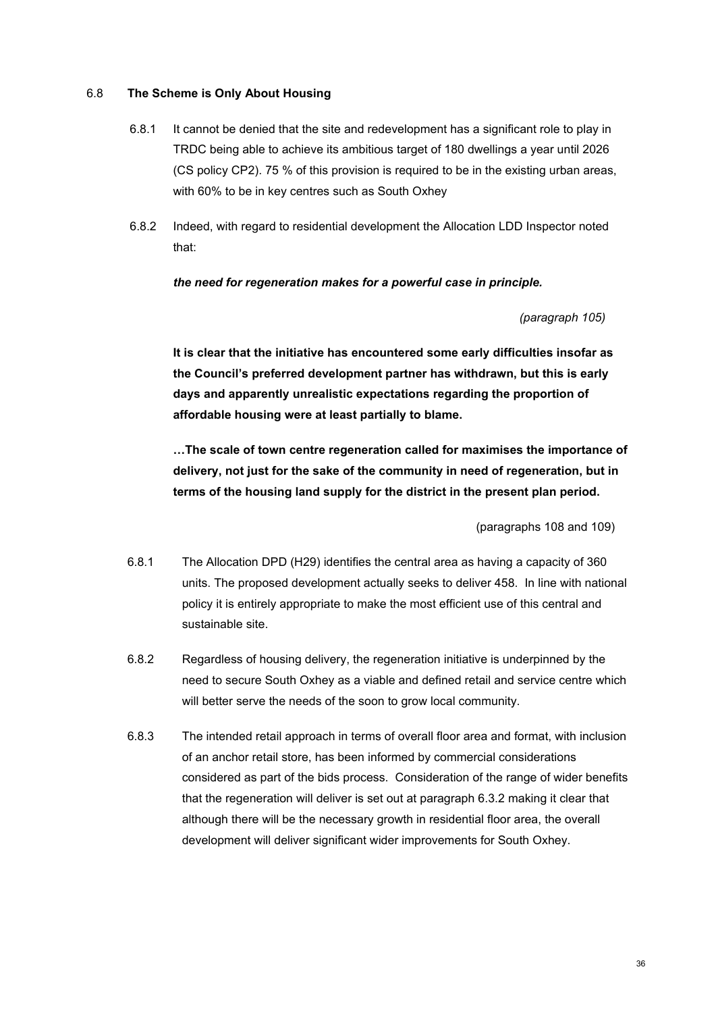### 6.8 **The Scheme is Only About Housing**

- <span id="page-35-0"></span>6.8.1 It cannot be denied that the site and redevelopment has a significant role to play in TRDC being able to achieve its ambitious target of 180 dwellings a year until 2026 (CS policy CP2). 75 % of this provision is required to be in the existing urban areas, with 60% to be in key centres such as South Oxhey
- 6.8.2 Indeed, with regard to residential development the Allocation LDD Inspector noted that:

*the need for regeneration makes for a powerful case in principle.*

*(paragraph 105)*

**It is clear that the initiative has encountered some early difficulties insofar as the Council's preferred development partner has withdrawn, but this is early days and apparently unrealistic expectations regarding the proportion of affordable housing were at least partially to blame.** 

**…The scale of town centre regeneration called for maximises the importance of delivery, not just for the sake of the community in need of regeneration, but in terms of the housing land supply for the district in the present plan period.** 

(paragraphs 108 and 109)

- 6.8.1 The Allocation DPD (H29) identifies the central area as having a capacity of 360 units. The proposed development actually seeks to deliver 458. In line with national policy it is entirely appropriate to make the most efficient use of this central and sustainable site.
- 6.8.2 Regardless of housing delivery, the regeneration initiative is underpinned by the need to secure South Oxhey as a viable and defined retail and service centre which will better serve the needs of the soon to grow local community.
- 6.8.3 The intended retail approach in terms of overall floor area and format, with inclusion of an anchor retail store, has been informed by commercial considerations considered as part of the bids process. Consideration of the range of wider benefits that the regeneration will deliver is set out at paragraph 6.3.2 making it clear that although there will be the necessary growth in residential floor area, the overall development will deliver significant wider improvements for South Oxhey.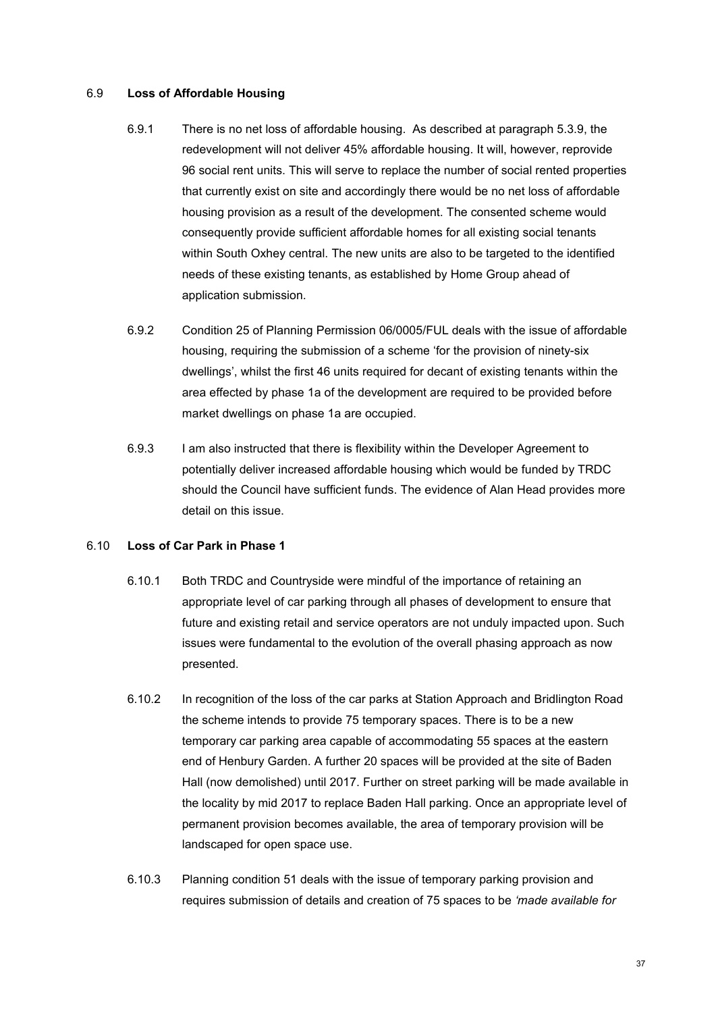### 6.9 **Loss of Affordable Housing**

- <span id="page-36-0"></span>6.9.1 There is no net loss of affordable housing. As described at paragraph 5.3.9, the redevelopment will not deliver 45% affordable housing. It will, however, reprovide 96 social rent units. This will serve to replace the number of social rented properties that currently exist on site and accordingly there would be no net loss of affordable housing provision as a result of the development. The consented scheme would consequently provide sufficient affordable homes for all existing social tenants within South Oxhey central. The new units are also to be targeted to the identified needs of these existing tenants, as established by Home Group ahead of application submission.
- 6.9.2 Condition 25 of Planning Permission 06/0005/FUL deals with the issue of affordable housing, requiring the submission of a scheme 'for the provision of ninety-six dwellings', whilst the first 46 units required for decant of existing tenants within the area effected by phase 1a of the development are required to be provided before market dwellings on phase 1a are occupied.
- 6.9.3 I am also instructed that there is flexibility within the Developer Agreement to potentially deliver increased affordable housing which would be funded by TRDC should the Council have sufficient funds. The evidence of Alan Head provides more detail on this issue.

# 6.10 **Loss of Car Park in Phase 1**

- <span id="page-36-1"></span>6.10.1 Both TRDC and Countryside were mindful of the importance of retaining an appropriate level of car parking through all phases of development to ensure that future and existing retail and service operators are not unduly impacted upon. Such issues were fundamental to the evolution of the overall phasing approach as now presented.
- 6.10.2 In recognition of the loss of the car parks at Station Approach and Bridlington Road the scheme intends to provide 75 temporary spaces. There is to be a new temporary car parking area capable of accommodating 55 spaces at the eastern end of Henbury Garden. A further 20 spaces will be provided at the site of Baden Hall (now demolished) until 2017. Further on street parking will be made available in the locality by mid 2017 to replace Baden Hall parking. Once an appropriate level of permanent provision becomes available, the area of temporary provision will be landscaped for open space use.
- 6.10.3 Planning condition 51 deals with the issue of temporary parking provision and requires submission of details and creation of 75 spaces to be *'made available for*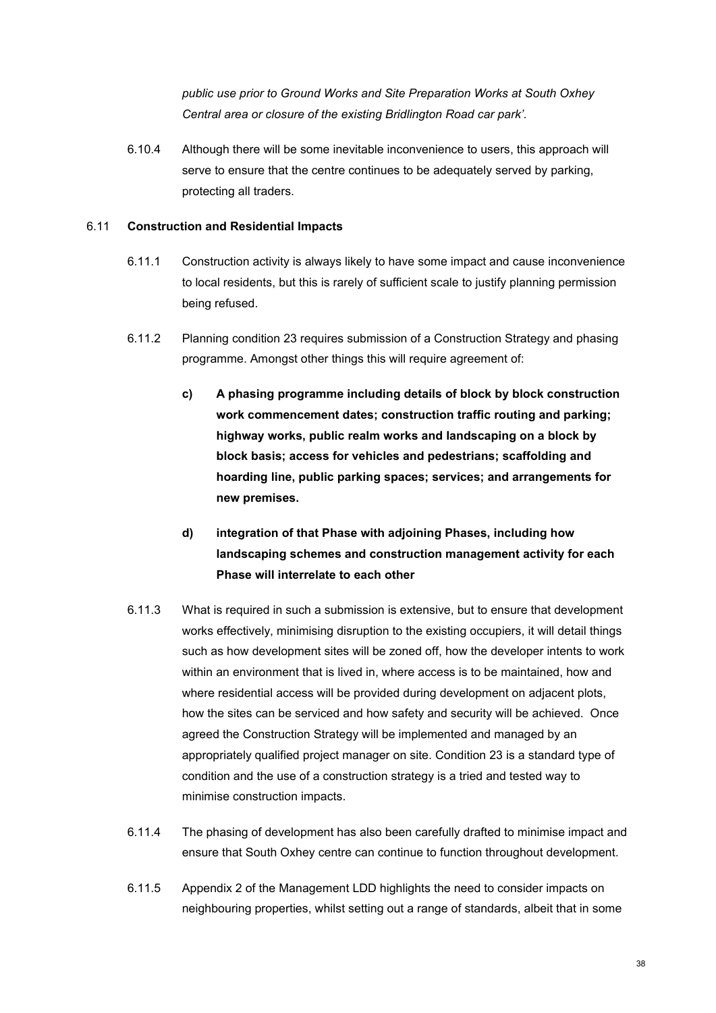*public use prior to Ground Works and Site Preparation Works at South Oxhey Central area or closure of the existing Bridlington Road car park'*.

6.10.4 Although there will be some inevitable inconvenience to users, this approach will serve to ensure that the centre continues to be adequately served by parking, protecting all traders.

### 6.11 **Construction and Residential Impacts**

- <span id="page-37-0"></span>6.11.1 Construction activity is always likely to have some impact and cause inconvenience to local residents, but this is rarely of sufficient scale to justify planning permission being refused.
- 6.11.2 Planning condition 23 requires submission of a Construction Strategy and phasing programme. Amongst other things this will require agreement of:
	- **c) A phasing programme including details of block by block construction work commencement dates; construction traffic routing and parking; highway works, public realm works and landscaping on a block by block basis; access for vehicles and pedestrians; scaffolding and hoarding line, public parking spaces; services; and arrangements for new premises.**
	- **d) integration of that Phase with adjoining Phases, including how landscaping schemes and construction management activity for each Phase will interrelate to each other**
- 6.11.3 What is required in such a submission is extensive, but to ensure that development works effectively, minimising disruption to the existing occupiers, it will detail things such as how development sites will be zoned off, how the developer intents to work within an environment that is lived in, where access is to be maintained, how and where residential access will be provided during development on adjacent plots, how the sites can be serviced and how safety and security will be achieved. Once agreed the Construction Strategy will be implemented and managed by an appropriately qualified project manager on site. Condition 23 is a standard type of condition and the use of a construction strategy is a tried and tested way to minimise construction impacts.
- 6.11.4 The phasing of development has also been carefully drafted to minimise impact and ensure that South Oxhey centre can continue to function throughout development.
- 6.11.5 Appendix 2 of the Management LDD highlights the need to consider impacts on neighbouring properties, whilst setting out a range of standards, albeit that in some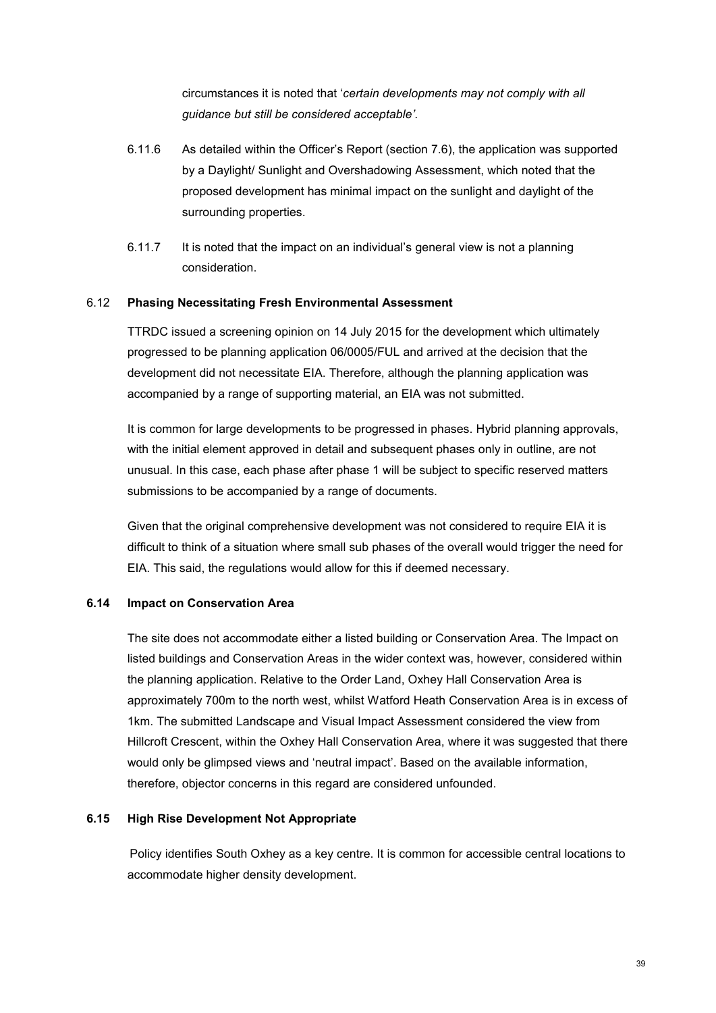circumstances it is noted that '*certain developments may not comply with all guidance but still be considered acceptable'*.

- 6.11.6 As detailed within the Officer's Report (section 7.6), the application was supported by a Daylight/ Sunlight and Overshadowing Assessment, which noted that the proposed development has minimal impact on the sunlight and daylight of the surrounding properties.
- 6.11.7 It is noted that the impact on an individual's general view is not a planning consideration.

## 6.12 **Phasing Necessitating Fresh Environmental Assessment**

TTRDC issued a screening opinion on 14 July 2015 for the development which ultimately progressed to be planning application 06/0005/FUL and arrived at the decision that the development did not necessitate EIA. Therefore, although the planning application was accompanied by a range of supporting material, an EIA was not submitted.

It is common for large developments to be progressed in phases. Hybrid planning approvals, with the initial element approved in detail and subsequent phases only in outline, are not unusual. In this case, each phase after phase 1 will be subject to specific reserved matters submissions to be accompanied by a range of documents.

Given that the original comprehensive development was not considered to require EIA it is difficult to think of a situation where small sub phases of the overall would trigger the need for EIA. This said, the regulations would allow for this if deemed necessary.

### <span id="page-38-0"></span>**6.14 Impact on Conservation Area**

The site does not accommodate either a listed building or Conservation Area. The Impact on listed buildings and Conservation Areas in the wider context was, however, considered within the planning application. Relative to the Order Land, Oxhey Hall Conservation Area is approximately 700m to the north west, whilst Watford Heath Conservation Area is in excess of 1km. The submitted Landscape and Visual Impact Assessment considered the view from Hillcroft Crescent, within the Oxhey Hall Conservation Area, where it was suggested that there would only be glimpsed views and 'neutral impact'. Based on the available information, therefore, objector concerns in this regard are considered unfounded.

### **6.15 High Rise Development Not Appropriate**

Policy identifies South Oxhey as a key centre. It is common for accessible central locations to accommodate higher density development.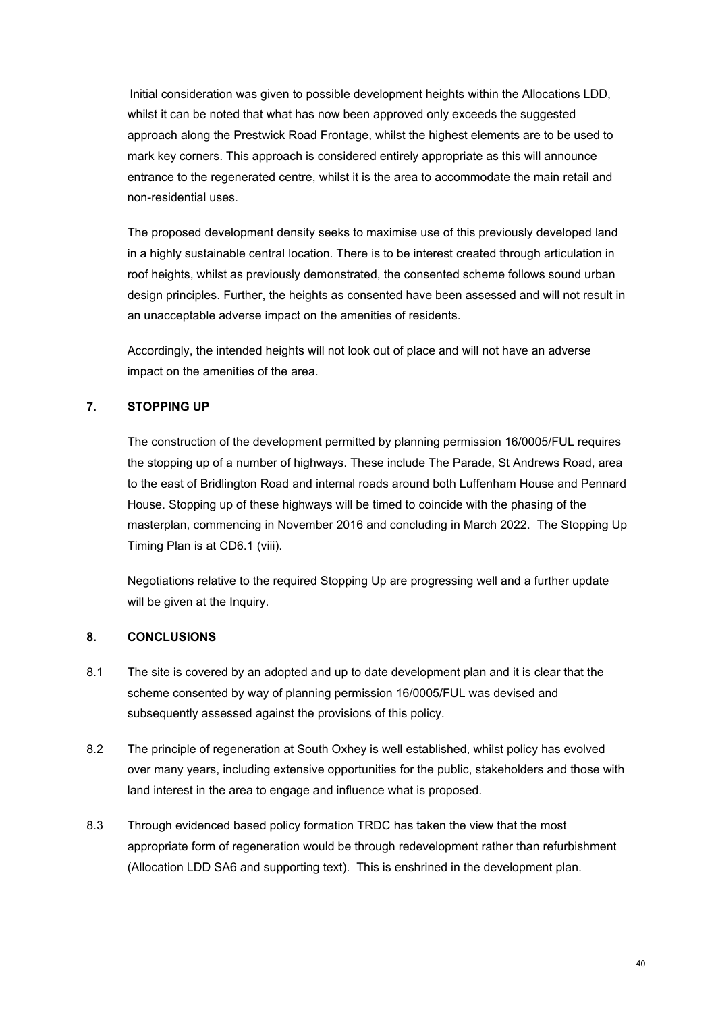Initial consideration was given to possible development heights within the Allocations LDD, whilst it can be noted that what has now been approved only exceeds the suggested approach along the Prestwick Road Frontage, whilst the highest elements are to be used to mark key corners. This approach is considered entirely appropriate as this will announce entrance to the regenerated centre, whilst it is the area to accommodate the main retail and non-residential uses.

The proposed development density seeks to maximise use of this previously developed land in a highly sustainable central location. There is to be interest created through articulation in roof heights, whilst as previously demonstrated, the consented scheme follows sound urban design principles. Further, the heights as consented have been assessed and will not result in an unacceptable adverse impact on the amenities of residents.

Accordingly, the intended heights will not look out of place and will not have an adverse impact on the amenities of the area.

### **7. STOPPING UP**

<span id="page-39-0"></span>The construction of the development permitted by planning permission 16/0005/FUL requires the stopping up of a number of highways. These include The Parade, St Andrews Road, area to the east of Bridlington Road and internal roads around both Luffenham House and Pennard House. Stopping up of these highways will be timed to coincide with the phasing of the masterplan, commencing in November 2016 and concluding in March 2022. The Stopping Up Timing Plan is at CD6.1 (viii).

Negotiations relative to the required Stopping Up are progressing well and a further update will be given at the Inquiry.

### <span id="page-39-1"></span>**8. CONCLUSIONS**

- 8.1 The site is covered by an adopted and up to date development plan and it is clear that the scheme consented by way of planning permission 16/0005/FUL was devised and subsequently assessed against the provisions of this policy.
- 8.2 The principle of regeneration at South Oxhey is well established, whilst policy has evolved over many years, including extensive opportunities for the public, stakeholders and those with land interest in the area to engage and influence what is proposed.
- 8.3 Through evidenced based policy formation TRDC has taken the view that the most appropriate form of regeneration would be through redevelopment rather than refurbishment (Allocation LDD SA6 and supporting text). This is enshrined in the development plan.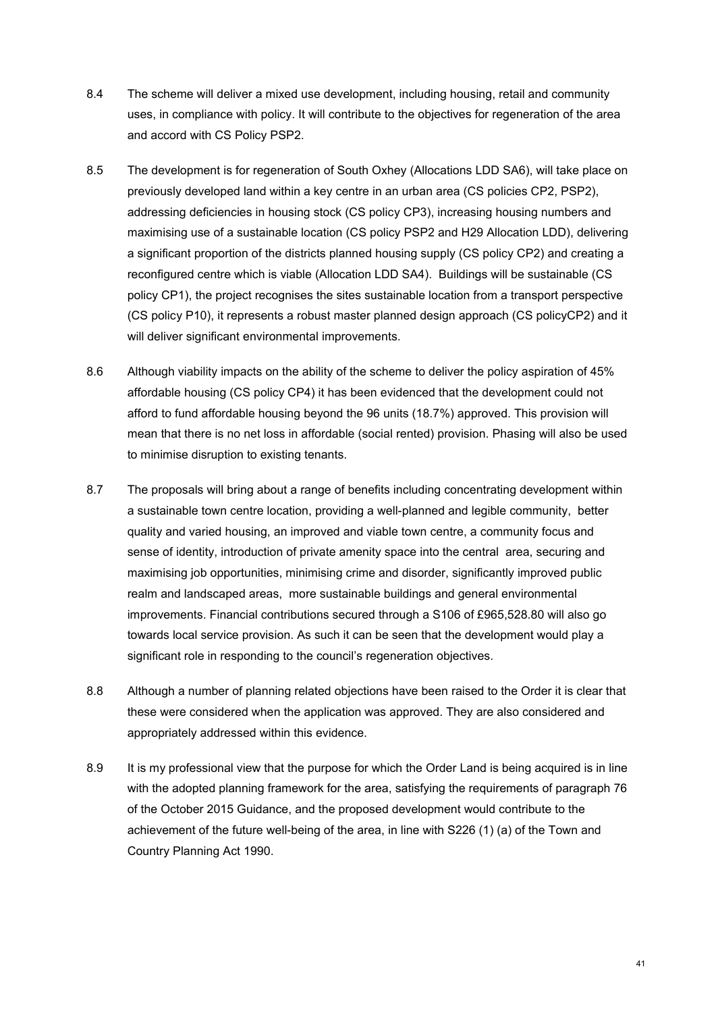- 8.4 The scheme will deliver a mixed use development, including housing, retail and community uses, in compliance with policy. It will contribute to the objectives for regeneration of the area and accord with CS Policy PSP2.
- 8.5 The development is for regeneration of South Oxhey (Allocations LDD SA6), will take place on previously developed land within a key centre in an urban area (CS policies CP2, PSP2), addressing deficiencies in housing stock (CS policy CP3), increasing housing numbers and maximising use of a sustainable location (CS policy PSP2 and H29 Allocation LDD), delivering a significant proportion of the districts planned housing supply (CS policy CP2) and creating a reconfigured centre which is viable (Allocation LDD SA4). Buildings will be sustainable (CS policy CP1), the project recognises the sites sustainable location from a transport perspective (CS policy P10), it represents a robust master planned design approach (CS policyCP2) and it will deliver significant environmental improvements.
- 8.6 Although viability impacts on the ability of the scheme to deliver the policy aspiration of 45% affordable housing (CS policy CP4) it has been evidenced that the development could not afford to fund affordable housing beyond the 96 units (18.7%) approved. This provision will mean that there is no net loss in affordable (social rented) provision. Phasing will also be used to minimise disruption to existing tenants.
- 8.7 The proposals will bring about a range of benefits including concentrating development within a sustainable town centre location, providing a well-planned and legible community, better quality and varied housing, an improved and viable town centre, a community focus and sense of identity, introduction of private amenity space into the central area, securing and maximising job opportunities, minimising crime and disorder, significantly improved public realm and landscaped areas, more sustainable buildings and general environmental improvements. Financial contributions secured through a S106 of £965,528.80 will also go towards local service provision. As such it can be seen that the development would play a significant role in responding to the council's regeneration objectives.
- 8.8 Although a number of planning related objections have been raised to the Order it is clear that these were considered when the application was approved. They are also considered and appropriately addressed within this evidence.
- 8.9 It is my professional view that the purpose for which the Order Land is being acquired is in line with the adopted planning framework for the area, satisfying the requirements of paragraph 76 of the October 2015 Guidance, and the proposed development would contribute to the achievement of the future well-being of the area, in line with S226 (1) (a) of the Town and Country Planning Act 1990.